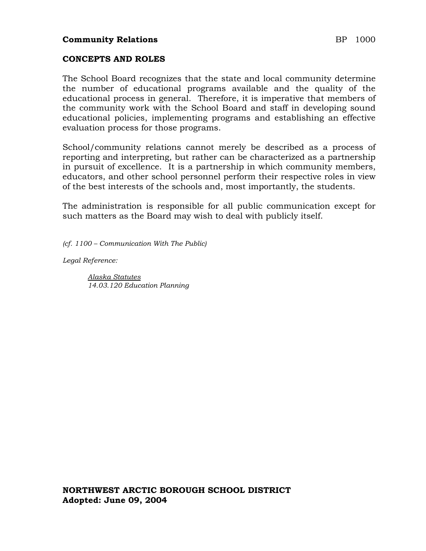## **Community Relations** BP 1000

#### **CONCEPTS AND ROLES**

The School Board recognizes that the state and local community determine the number of educational programs available and the quality of the educational process in general. Therefore, it is imperative that members of the community work with the School Board and staff in developing sound educational policies, implementing programs and establishing an effective evaluation process for those programs.

School/community relations cannot merely be described as a process of reporting and interpreting, but rather can be characterized as a partnership in pursuit of excellence. It is a partnership in which community members, educators, and other school personnel perform their respective roles in view of the best interests of the schools and, most importantly, the students.

The administration is responsible for all public communication except for such matters as the Board may wish to deal with publicly itself.

*(cf. 1100 – Communication With The Public)*

*Legal Reference:*

*Alaska Statutes 14.03.120 Education Planning*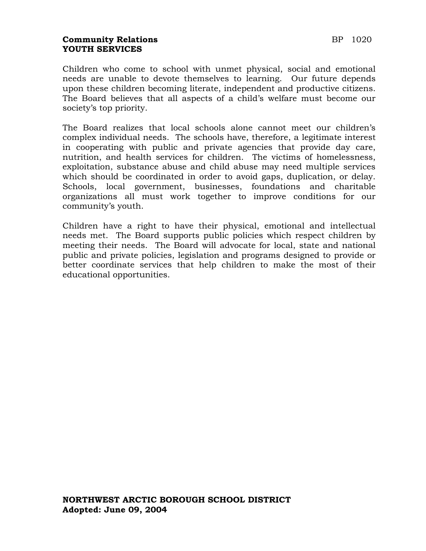## **Community Relations BP** 1020 **YOUTH SERVICES**

Children who come to school with unmet physical, social and emotional needs are unable to devote themselves to learning. Our future depends upon these children becoming literate, independent and productive citizens. The Board believes that all aspects of a child's welfare must become our society's top priority.

The Board realizes that local schools alone cannot meet our children's complex individual needs. The schools have, therefore, a legitimate interest in cooperating with public and private agencies that provide day care, nutrition, and health services for children. The victims of homelessness, exploitation, substance abuse and child abuse may need multiple services which should be coordinated in order to avoid gaps, duplication, or delay. Schools, local government, businesses, foundations and charitable organizations all must work together to improve conditions for our community's youth.

Children have a right to have their physical, emotional and intellectual needs met. The Board supports public policies which respect children by meeting their needs. The Board will advocate for local, state and national public and private policies, legislation and programs designed to provide or better coordinate services that help children to make the most of their educational opportunities.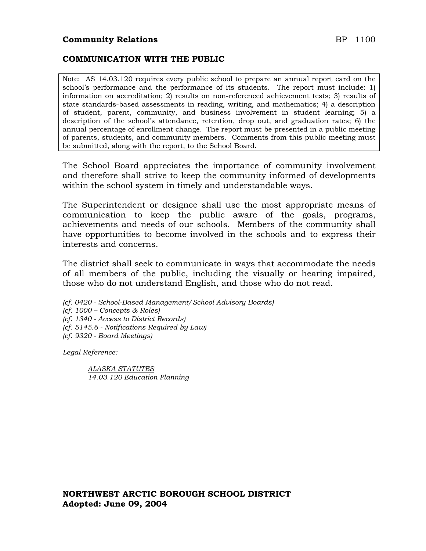#### **COMMUNICATION WITH THE PUBLIC**

Note: AS 14.03.120 requires every public school to prepare an annual report card on the school's performance and the performance of its students. The report must include: 1) information on accreditation; 2) results on non-referenced achievement tests; 3) results of state standards-based assessments in reading, writing, and mathematics; 4) a description of student, parent, community, and business involvement in student learning; 5) a description of the school's attendance, retention, drop out, and graduation rates; 6) the annual percentage of enrollment change. The report must be presented in a public meeting of parents, students, and community members. Comments from this public meeting must be submitted, along with the report, to the School Board.

The School Board appreciates the importance of community involvement and therefore shall strive to keep the community informed of developments within the school system in timely and understandable ways.

The Superintendent or designee shall use the most appropriate means of communication to keep the public aware of the goals, programs, achievements and needs of our schools. Members of the community shall have opportunities to become involved in the schools and to express their interests and concerns.

The district shall seek to communicate in ways that accommodate the needs of all members of the public, including the visually or hearing impaired, those who do not understand English, and those who do not read.

- *(cf. 0420 - School-Based Management/School Advisory Boards)*
- *(cf. 1000 – Concepts & Roles)*
- *(cf. 1340 - Access to District Records)*
- *(cf. 5145.6 - Notifications Required by Law)*
- *(cf. 9320 - Board Meetings)*

*Legal Reference:*

*ALASKA STATUTES 14.03.120 Education Planning*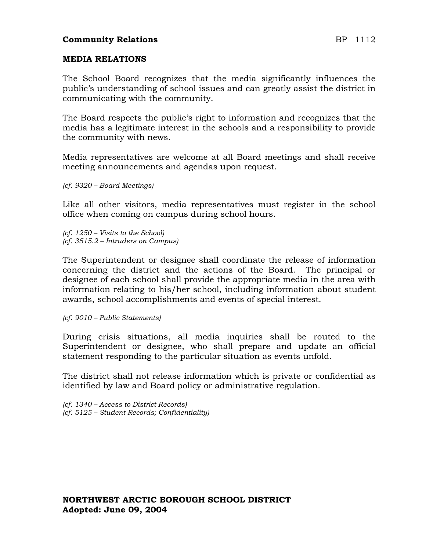## **Community Relations** BP 1112

#### **MEDIA RELATIONS**

The School Board recognizes that the media significantly influences the public's understanding of school issues and can greatly assist the district in communicating with the community.

The Board respects the public's right to information and recognizes that the media has a legitimate interest in the schools and a responsibility to provide the community with news.

Media representatives are welcome at all Board meetings and shall receive meeting announcements and agendas upon request.

*(cf. 9320 – Board Meetings)*

Like all other visitors, media representatives must register in the school office when coming on campus during school hours.

*(cf. 1250 – Visits to the School) (cf. 3515.2 – Intruders on Campus)*

The Superintendent or designee shall coordinate the release of information concerning the district and the actions of the Board. The principal or designee of each school shall provide the appropriate media in the area with information relating to his/her school, including information about student awards, school accomplishments and events of special interest.

*(cf. 9010 – Public Statements)*

During crisis situations, all media inquiries shall be routed to the Superintendent or designee, who shall prepare and update an official statement responding to the particular situation as events unfold.

The district shall not release information which is private or confidential as identified by law and Board policy or administrative regulation.

*(cf. 1340 – Access to District Records) (cf. 5125 – Student Records; Confidentiality)*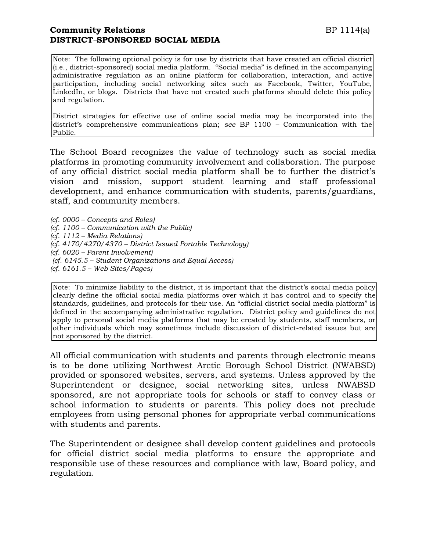## **Community Relations** BP 1114(a) **DISTRICT***–***SPONSORED SOCIAL MEDIA**

Note: The following optional policy is for use by districts that have created an official district (i.e., district-sponsored) social media platform. "Social media" is defined in the accompanying administrative regulation as an online platform for collaboration, interaction, and active participation, including social networking sites such as Facebook, Twitter, YouTube, LinkedIn, or blogs. Districts that have not created such platforms should delete this policy and regulation.

District strategies for effective use of online social media may be incorporated into the district's comprehensive communications plan; *see* BP 1100 *–* Communication with the Public.

The School Board recognizes the value of technology such as social media platforms in promoting community involvement and collaboration. The purpose of any official district social media platform shall be to further the district's vision and mission, support student learning and staff professional development, and enhance communication with students, parents/guardians, staff, and community members.

*(cf. 0000 – Concepts and Roles) (cf. 1100 – Communication with the Public) (cf. 1112 – Media Relations) (cf. 4170/4270/4370 – District Issued Portable Technology) (cf. 6020 – Parent Involvement) (cf. 6145.5 – Student Organizations and Equal Access) (cf. 6161.5 – Web Sites/Pages)*

Note: To minimize liability to the district, it is important that the district's social media policy clearly define the official social media platforms over which it has control and to specify the standards, guidelines, and protocols for their use. An "official district social media platform" is defined in the accompanying administrative regulation. District policy and guidelines do not apply to personal social media platforms that may be created by students, staff members, or other individuals which may sometimes include discussion of district-related issues but are not sponsored by the district.

All official communication with students and parents through electronic means is to be done utilizing Northwest Arctic Borough School District (NWABSD) provided or sponsored websites, servers, and systems. Unless approved by the Superintendent or designee, social networking sites, unless NWABSD sponsored, are not appropriate tools for schools or staff to convey class or school information to students or parents. This policy does not preclude employees from using personal phones for appropriate verbal communications with students and parents.

The Superintendent or designee shall develop content guidelines and protocols for official district social media platforms to ensure the appropriate and responsible use of these resources and compliance with law, Board policy, and regulation.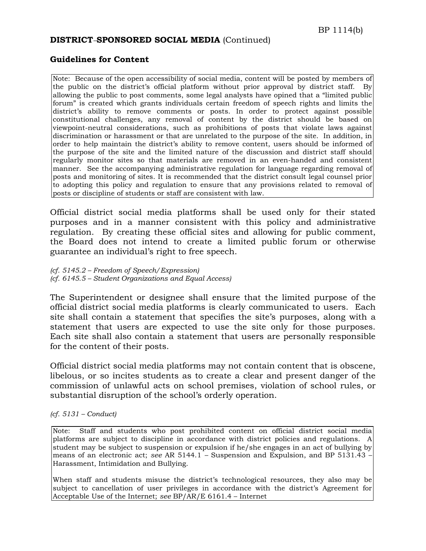#### **DISTRICT***–***SPONSORED SOCIAL MEDIA** (Continued)

#### **Guidelines for Content**

Note: Because of the open accessibility of social media, content will be posted by members of the public on the district's official platform without prior approval by district staff. By allowing the public to post comments, some legal analysts have opined that a "limited public forum" is created which grants individuals certain freedom of speech rights and limits the district's ability to remove comments or posts. In order to protect against possible constitutional challenges, any removal of content by the district should be based on viewpoint-neutral considerations, such as prohibitions of posts that violate laws against discrimination or harassment or that are unrelated to the purpose of the site. In addition, in order to help maintain the district's ability to remove content, users should be informed of the purpose of the site and the limited nature of the discussion and district staff should regularly monitor sites so that materials are removed in an even-handed and consistent manner. See the accompanying administrative regulation for language regarding removal of posts and monitoring of sites. It is recommended that the district consult legal counsel prior to adopting this policy and regulation to ensure that any provisions related to removal of posts or discipline of students or staff are consistent with law.

Official district social media platforms shall be used only for their stated purposes and in a manner consistent with this policy and administrative regulation. By creating these official sites and allowing for public comment, the Board does not intend to create a limited public forum or otherwise guarantee an individual's right to free speech.

*(cf. 5145.2 – Freedom of Speech/Expression) (cf. 6145.5 – Student Organizations and Equal Access)*

The Superintendent or designee shall ensure that the limited purpose of the official district social media platforms is clearly communicated to users. Each site shall contain a statement that specifies the site's purposes, along with a statement that users are expected to use the site only for those purposes. Each site shall also contain a statement that users are personally responsible for the content of their posts.

Official district social media platforms may not contain content that is obscene, libelous, or so incites students as to create a clear and present danger of the commission of unlawful acts on school premises, violation of school rules, or substantial disruption of the school's orderly operation.

#### *(cf. 5131 – Conduct)*

Note: Staff and students who post prohibited content on official district social media platforms are subject to discipline in accordance with district policies and regulations. A student may be subject to suspension or expulsion if he/she engages in an act of bullying by means of an electronic act; *see* AR 5144.1 *–* Suspension and Expulsion, and BP 5131.43 – Harassment, Intimidation and Bullying.

When staff and students misuse the district's technological resources, they also may be subject to cancellation of user privileges in accordance with the district's Agreement for Acceptable Use of the Internet; *see* BP/AR/E 6161.4 – Internet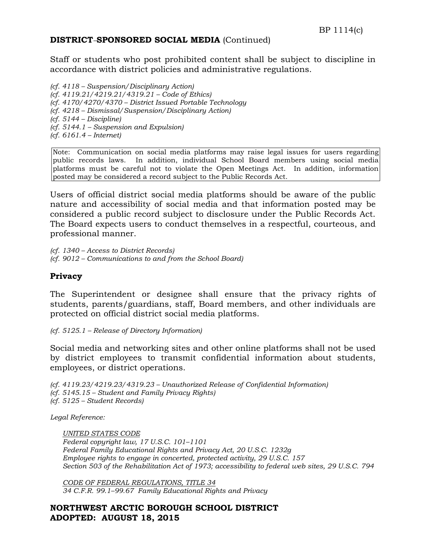### **DISTRICT***–***SPONSORED SOCIAL MEDIA** (Continued)

Staff or students who post prohibited content shall be subject to discipline in accordance with district policies and administrative regulations.

*(cf. 4118 – Suspension/Disciplinary Action) (cf. 4119.21/4219.21/4319.21 – Code of Ethics) (cf. 4170/4270/4370 – District Issued Portable Technology (cf. 4218 – Dismissal/Suspension/Disciplinary Action) (cf. 5144 – Discipline) (cf. 5144.1 – Suspension and Expulsion) (cf. 6161.4 – Internet)*

Note: Communication on social media platforms may raise legal issues for users regarding public records laws. In addition, individual School Board members using social media platforms must be careful not to violate the Open Meetings Act. In addition, information posted may be considered a record subject to the Public Records Act.

Users of official district social media platforms should be aware of the public nature and accessibility of social media and that information posted may be considered a public record subject to disclosure under the Public Records Act. The Board expects users to conduct themselves in a respectful, courteous, and professional manner.

*(cf. 1340 – Access to District Records) (cf. 9012 – Communications to and from the School Board)*

#### **Privacy**

The Superintendent or designee shall ensure that the privacy rights of students, parents/guardians, staff, Board members, and other individuals are protected on official district social media platforms.

*(cf. 5125.1 – Release of Directory Information)*

Social media and networking sites and other online platforms shall not be used by district employees to transmit confidential information about students, employees, or district operations.

*(cf. 4119.23/4219.23/4319.23 – Unauthorized Release of Confidential Information) (cf. 5145.15 – Student and Family Privacy Rights) (cf. 5125 – Student Records)*

*Legal Reference:* 

*UNITED STATES CODE Federal copyright law, 17 U.S.C. 101–1101 Federal Family Educational Rights and Privacy Act, 20 U.S.C. 1232g Employee rights to engage in concerted, protected activity, 29 U.S.C. 157 Section 503 of the Rehabilitation Act of 1973; accessibility to federal web sites, 29 U.S.C. 794*

*CODE OF FEDERAL REGULATIONS, TITLE 34 34 C.F.R. 99.1–99.67 Family Educational Rights and Privacy*

**NORTHWEST ARCTIC BOROUGH SCHOOL DISTRICT ADOPTED: AUGUST 18, 2015**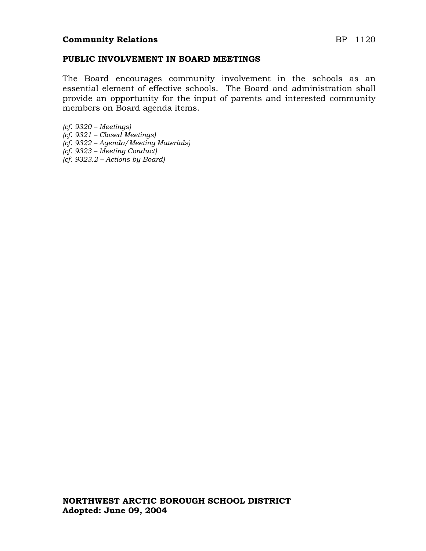#### **PUBLIC INVOLVEMENT IN BOARD MEETINGS**

The Board encourages community involvement in the schools as an essential element of effective schools. The Board and administration shall provide an opportunity for the input of parents and interested community members on Board agenda items.

- *(cf. 9320 – Meetings) (cf. 9321 – Closed Meetings)*
- *(cf. 9322 – Agenda/Meeting Materials)*
- *(cf. 9323 – Meeting Conduct)*
- *(cf. 9323.2 – Actions by Board)*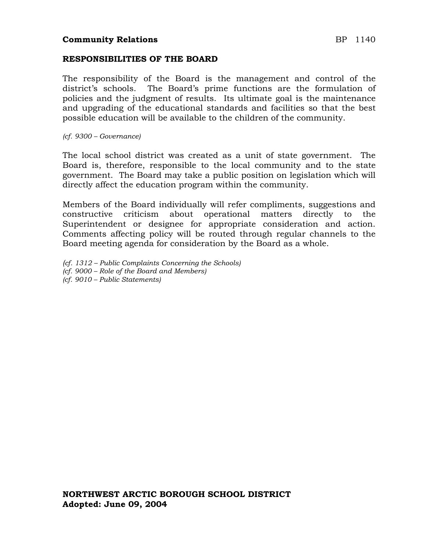### **Community Relations** BP 1140

#### **RESPONSIBILITIES OF THE BOARD**

The responsibility of the Board is the management and control of the district's schools. The Board's prime functions are the formulation of policies and the judgment of results. Its ultimate goal is the maintenance and upgrading of the educational standards and facilities so that the best possible education will be available to the children of the community.

*(cf. 9300 – Governance)*

The local school district was created as a unit of state government. The Board is, therefore, responsible to the local community and to the state government. The Board may take a public position on legislation which will directly affect the education program within the community.

Members of the Board individually will refer compliments, suggestions and constructive criticism about operational matters directly to the Superintendent or designee for appropriate consideration and action. Comments affecting policy will be routed through regular channels to the Board meeting agenda for consideration by the Board as a whole.

- *(cf. 1312 – Public Complaints Concerning the Schools)*
- *(cf. 9000 – Role of the Board and Members) (cf. 9010 – Public Statements)*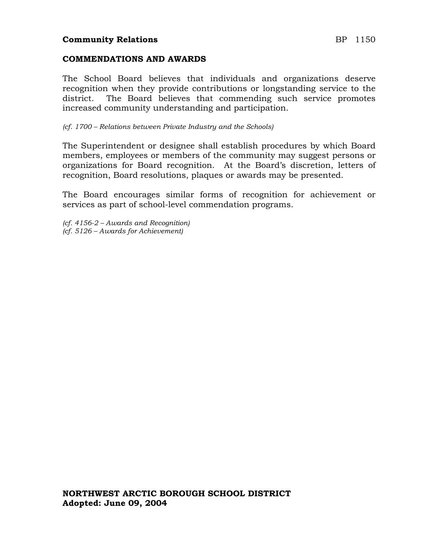## **Community Relations** BP 1150

#### **COMMENDATIONS AND AWARDS**

The School Board believes that individuals and organizations deserve recognition when they provide contributions or longstanding service to the district. The Board believes that commending such service promotes increased community understanding and participation.

*(cf. 1700 – Relations between Private Industry and the Schools)*

The Superintendent or designee shall establish procedures by which Board members, employees or members of the community may suggest persons or organizations for Board recognition. At the Board's discretion, letters of recognition, Board resolutions, plaques or awards may be presented.

The Board encourages similar forms of recognition for achievement or services as part of school-level commendation programs.

*(cf. 4156-2 – Awards and Recognition) (cf. 5126 – Awards for Achievement)*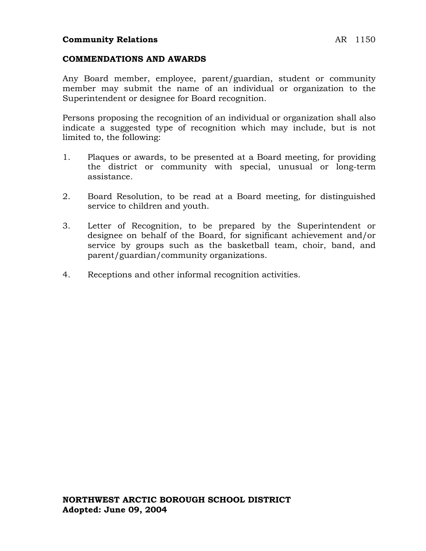#### **COMMENDATIONS AND AWARDS**

Any Board member, employee, parent/guardian, student or community member may submit the name of an individual or organization to the Superintendent or designee for Board recognition.

Persons proposing the recognition of an individual or organization shall also indicate a suggested type of recognition which may include, but is not limited to, the following:

- 1. Plaques or awards, to be presented at a Board meeting, for providing the district or community with special, unusual or long-term assistance.
- 2. Board Resolution, to be read at a Board meeting, for distinguished service to children and youth.
- 3. Letter of Recognition, to be prepared by the Superintendent or designee on behalf of the Board, for significant achievement and/or service by groups such as the basketball team, choir, band, and parent/guardian/community organizations.
- 4. Receptions and other informal recognition activities.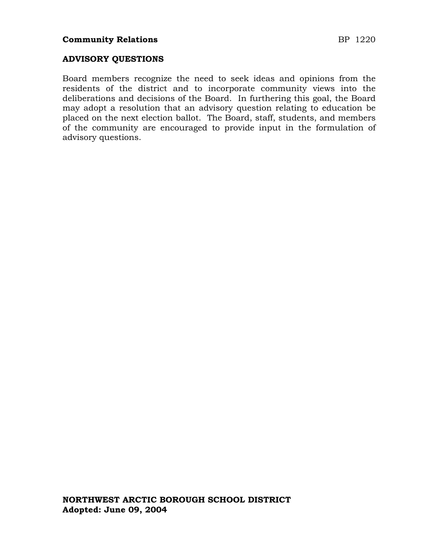### **ADVISORY QUESTIONS**

Board members recognize the need to seek ideas and opinions from the residents of the district and to incorporate community views into the deliberations and decisions of the Board. In furthering this goal, the Board may adopt a resolution that an advisory question relating to education be placed on the next election ballot. The Board, staff, students, and members of the community are encouraged to provide input in the formulation of advisory questions.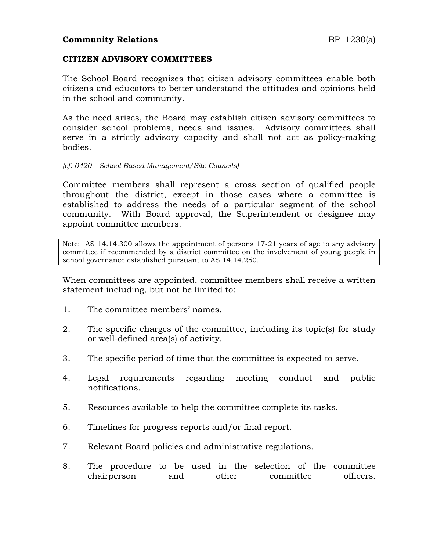### **CITIZEN ADVISORY COMMITTEES**

The School Board recognizes that citizen advisory committees enable both citizens and educators to better understand the attitudes and opinions held in the school and community.

As the need arises, the Board may establish citizen advisory committees to consider school problems, needs and issues. Advisory committees shall serve in a strictly advisory capacity and shall not act as policy-making bodies.

*(cf. 0420 – School-Based Management/Site Councils)*

Committee members shall represent a cross section of qualified people throughout the district, except in those cases where a committee is established to address the needs of a particular segment of the school community. With Board approval, the Superintendent or designee may appoint committee members.

Note: AS 14.14.300 allows the appointment of persons 17-21 years of age to any advisory committee if recommended by a district committee on the involvement of young people in school governance established pursuant to AS 14.14.250.

When committees are appointed, committee members shall receive a written statement including, but not be limited to:

- 1. The committee members' names.
- 2. The specific charges of the committee, including its topic(s) for study or well-defined area(s) of activity.
- 3. The specific period of time that the committee is expected to serve.
- 4. Legal requirements regarding meeting conduct and public notifications.
- 5. Resources available to help the committee complete its tasks.
- 6. Timelines for progress reports and/or final report.
- 7. Relevant Board policies and administrative regulations.
- 8. The procedure to be used in the selection of the committee chairperson and other committee officers.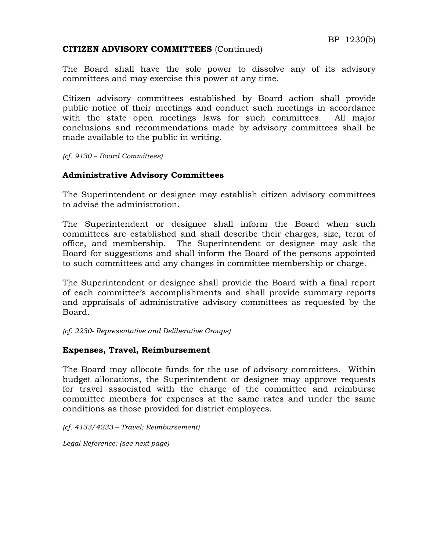## **CITIZEN ADVISORY COMMITTEES** (Continued)

The Board shall have the sole power to dissolve any of its advisory committees and may exercise this power at any time.

Citizen advisory committees established by Board action shall provide public notice of their meetings and conduct such meetings in accordance with the state open meetings laws for such committees. All major conclusions and recommendations made by advisory committees shall be made available to the public in writing.

*(cf. 9130 – Board Committees)*

## **Administrative Advisory Committees**

The Superintendent or designee may establish citizen advisory committees to advise the administration.

The Superintendent or designee shall inform the Board when such committees are established and shall describe their charges, size, term of office, and membership. The Superintendent or designee may ask the Board for suggestions and shall inform the Board of the persons appointed to such committees and any changes in committee membership or charge.

The Superintendent or designee shall provide the Board with a final report of each committee's accomplishments and shall provide summary reports and appraisals of administrative advisory committees as requested by the Board.

*(cf. 2230- Representative and Deliberative Groups)*

## **Expenses, Travel, Reimbursement**

The Board may allocate funds for the use of advisory committees. Within budget allocations, the Superintendent or designee may approve requests for travel associated with the charge of the committee and reimburse committee members for expenses at the same rates and under the same conditions as those provided for district employees.

*(cf. 4133/4233 – Travel; Reimbursement)*

*Legal Reference: (see next page)*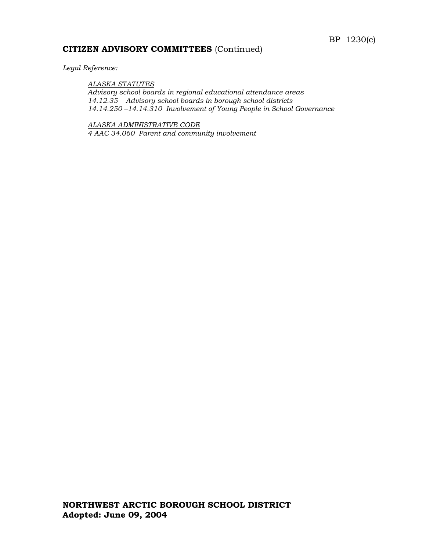### **CITIZEN ADVISORY COMMITTEES** (Continued)

*Legal Reference:*

#### *ALASKA STATUTES*

*Advisory school boards in regional educational attendance areas 14.12.35 Advisory school boards in borough school districts 14.14.250 –14.14.310 Involvement of Young People in School Governance*

*ALASKA ADMINISTRATIVE CODE 4 AAC 34.060 Parent and community involvement*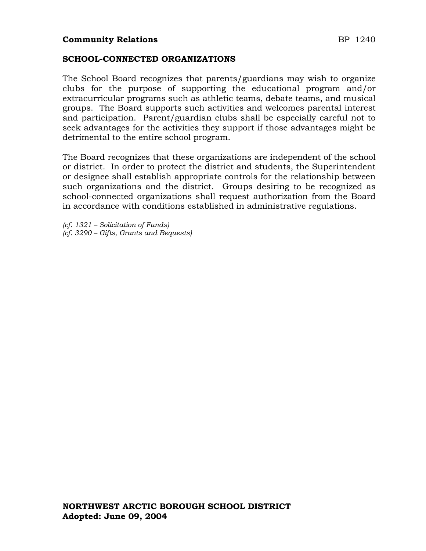## **SCHOOL-CONNECTED ORGANIZATIONS**

The School Board recognizes that parents/guardians may wish to organize clubs for the purpose of supporting the educational program and/or extracurricular programs such as athletic teams, debate teams, and musical groups. The Board supports such activities and welcomes parental interest and participation. Parent/guardian clubs shall be especially careful not to seek advantages for the activities they support if those advantages might be detrimental to the entire school program.

The Board recognizes that these organizations are independent of the school or district. In order to protect the district and students, the Superintendent or designee shall establish appropriate controls for the relationship between such organizations and the district. Groups desiring to be recognized as school-connected organizations shall request authorization from the Board in accordance with conditions established in administrative regulations.

*(cf. 1321 – Solicitation of Funds) (cf. 3290 – Gifts, Grants and Bequests)*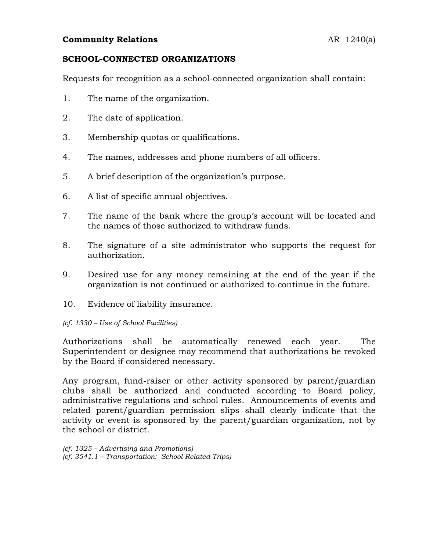## **Community Relations** AR 1240(a)

### **SCHOOL-CONNECTED ORGANIZATIONS**

Requests for recognition as a school-connected organization shall contain:

- 1. The name of the organization.
- 2. The date of application.
- 3. Membership quotas or qualifications.
- 4. The names, addresses and phone numbers of all officers.
- 5. A brief description of the organization's purpose.
- 6. A list of specific annual objectives.
- 7. The name of the bank where the group's account will be located and the names of those authorized to withdraw funds.
- 8. The signature of a site administrator who supports the request for authorization.
- 9. Desired use for any money remaining at the end of the year if the organization is not continued or authorized to continue in the future.
- 10. Evidence of liability insurance.
- *(cf. 1330 – Use of School Facilities)*

Authorizations shall be automatically renewed each year. The Superintendent or designee may recommend that authorizations be revoked by the Board if considered necessary.

Any program, fund-raiser or other activity sponsored by parent/guardian clubs shall be authorized and conducted according to Board policy, administrative regulations and school rules. Announcements of events and related parent/guardian permission slips shall clearly indicate that the activity or event is sponsored by the parent/guardian organization, not by the school or district.

*(cf. 1325 – Advertising and Promotions) (cf. 3541.1 – Transportation: School-Related Trips)*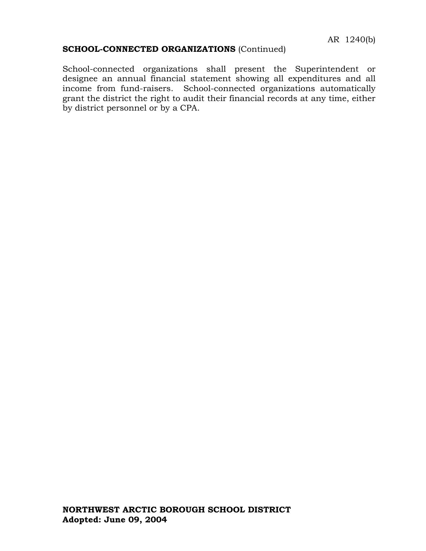## **SCHOOL-CONNECTED ORGANIZATIONS** (Continued)

School-connected organizations shall present the Superintendent or designee an annual financial statement showing all expenditures and all income from fund-raisers. School-connected organizations automatically grant the district the right to audit their financial records at any time, either by district personnel or by a CPA.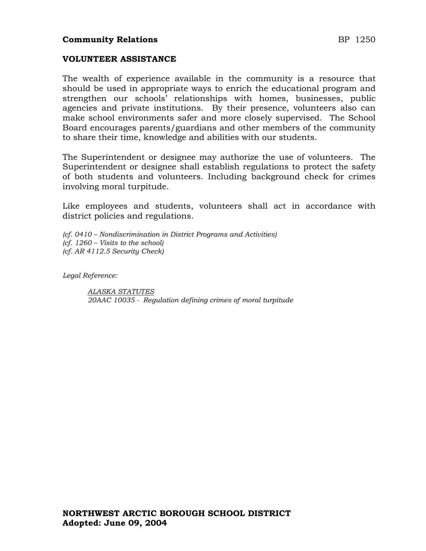## **Community Relations** BP 1250

#### **VOLUNTEER ASSISTANCE**

The wealth of experience available in the community is a resource that should be used in appropriate ways to enrich the educational program and strengthen our schools' relationships with homes, businesses, public agencies and private institutions. By their presence, volunteers also can make school environments safer and more closely supervised. The School Board encourages parents/guardians and other members of the community to share their time, knowledge and abilities with our students.

The Superintendent or designee may authorize the use of volunteers. The Superintendent or designee shall establish regulations to protect the safety of both students and volunteers. Including background check for crimes involving moral turpitude.

Like employees and students, volunteers shall act in accordance with district policies and regulations.

*(cf. 0410 – Nondiscrimination in District Programs and Activities) (cf. 1260 – Visits to the school) (cf. AR 4112.5 Security Check)*

*Legal Reference:*

*ALASKA STATUTES 20AAC 10035 - Regulation defining crimes of moral turpitude*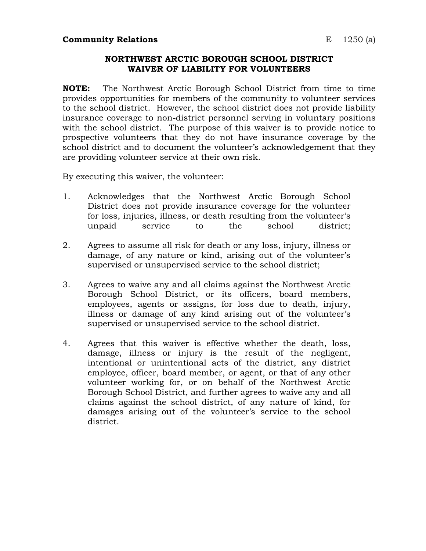#### **NORTHWEST ARCTIC BOROUGH SCHOOL DISTRICT WAIVER OF LIABILITY FOR VOLUNTEERS**

**NOTE:** The Northwest Arctic Borough School District from time to time provides opportunities for members of the community to volunteer services to the school district. However, the school district does not provide liability insurance coverage to non-district personnel serving in voluntary positions with the school district. The purpose of this waiver is to provide notice to prospective volunteers that they do not have insurance coverage by the school district and to document the volunteer's acknowledgement that they are providing volunteer service at their own risk.

By executing this waiver, the volunteer:

- 1. Acknowledges that the Northwest Arctic Borough School District does not provide insurance coverage for the volunteer for loss, injuries, illness, or death resulting from the volunteer's unpaid service to the school district;
- 2. Agrees to assume all risk for death or any loss, injury, illness or damage, of any nature or kind, arising out of the volunteer's supervised or unsupervised service to the school district;
- 3. Agrees to waive any and all claims against the Northwest Arctic Borough School District, or its officers, board members, employees, agents or assigns, for loss due to death, injury, illness or damage of any kind arising out of the volunteer's supervised or unsupervised service to the school district.
- 4. Agrees that this waiver is effective whether the death, loss, damage, illness or injury is the result of the negligent, intentional or unintentional acts of the district, any district employee, officer, board member, or agent, or that of any other volunteer working for, or on behalf of the Northwest Arctic Borough School District, and further agrees to waive any and all claims against the school district, of any nature of kind, for damages arising out of the volunteer's service to the school district.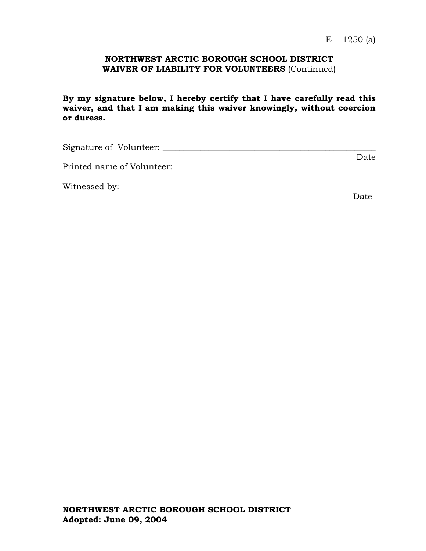### **NORTHWEST ARCTIC BOROUGH SCHOOL DISTRICT WAIVER OF LIABILITY FOR VOLUNTEERS** (Continued)

**By my signature below, I hereby certify that I have carefully read this waiver, and that I am making this waiver knowingly, without coercion or duress.**

| Signature of Volunteer:    |      |
|----------------------------|------|
|                            | Date |
| Printed name of Volunteer: |      |
|                            |      |
| Witnessed by:              |      |

discussion of the contract of the Date of the Date of the United States of the United States of the United States of the United States of the United States of the United States of the United States of the United States of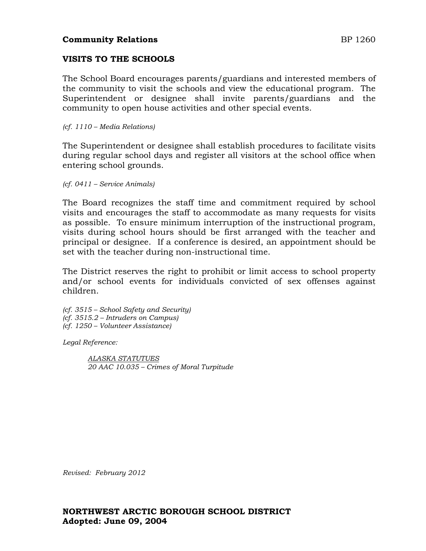## **VISITS TO THE SCHOOLS**

The School Board encourages parents/guardians and interested members of the community to visit the schools and view the educational program. The Superintendent or designee shall invite parents/guardians and the community to open house activities and other special events.

#### *(cf. 1110 – Media Relations)*

The Superintendent or designee shall establish procedures to facilitate visits during regular school days and register all visitors at the school office when entering school grounds.

*(cf. 0411 – Service Animals)*

The Board recognizes the staff time and commitment required by school visits and encourages the staff to accommodate as many requests for visits as possible. To ensure minimum interruption of the instructional program, visits during school hours should be first arranged with the teacher and principal or designee. If a conference is desired, an appointment should be set with the teacher during non-instructional time.

The District reserves the right to prohibit or limit access to school property and/or school events for individuals convicted of sex offenses against children.

*(cf. 3515 – School Safety and Security) (cf. 3515.2 – Intruders on Campus) (cf. 1250 – Volunteer Assistance)*

*Legal Reference:*

*ALASKA STATUTUES 20 AAC 10.035 – Crimes of Moral Turpitude*

*Revised: February 2012*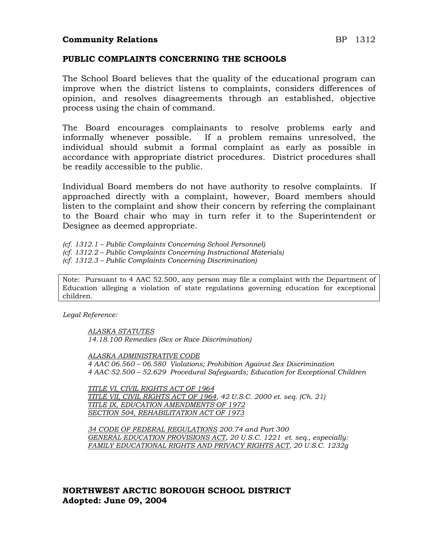### **Community Relations** BP 1312

### **PUBLIC COMPLAINTS CONCERNING THE SCHOOLS**

The School Board believes that the quality of the educational program can improve when the district listens to complaints, considers differences of opinion, and resolves disagreements through an established, objective process using the chain of command.

The Board encourages complainants to resolve problems early and informally whenever possible. If a problem remains unresolved, the individual should submit a formal complaint as early as possible in accordance with appropriate district procedures. District procedures shall be readily accessible to the public.

Individual Board members do not have authority to resolve complaints. If approached directly with a complaint, however, Board members should listen to the complaint and show their concern by referring the complainant to the Board chair who may in turn refer it to the Superintendent or Designee as deemed appropriate.

*(cf. 1312.1 – Public Complaints Concerning School Personnel)*

*(cf. 1312.2 – Public Complaints Concerning Instructional Materials)*

*(cf. 1312.3 – Public Complaints Concerning Discrimination)*

Note: Pursuant to 4 AAC 52.500, any person may file a complaint with the Department of Education alleging a violation of state regulations governing education for exceptional children.

*Legal Reference:*

*ALASKA STATUTES 14.18.100 Remedies (Sex or Race Discrimination)*

*ALASKA ADMINISTRATIVE CODE 4 AAC 06.560 – 06.580 Violations; Prohibition Against Sex Discrimination 4 AAC 52.500 – 52.629 Procedural Safeguards; Education for Exceptional Children*

*TITLE VI, CIVIL RIGHTS ACT OF 1964 TITLE VII, CIVIL RIGHTS ACT OF 1964, 42 U.S.C. 2000 et. seq. (Ch. 21) TITLE IX, EDUCATION AMENDMENTS OF 1972 SECTION 504, REHABILITATION ACT OF 1973*

*34 CODE OF FEDERAL REGULATIONS 200.74 and Part 300 GENERAL EDUCATION PROVISIONS ACT, 20 U.S.C. 1221 et. seq., especially: FAMILY EDUCATIONAL RIGHTS AND PRIVACY RIGHTS ACT, 20 U.S.C. 1232g*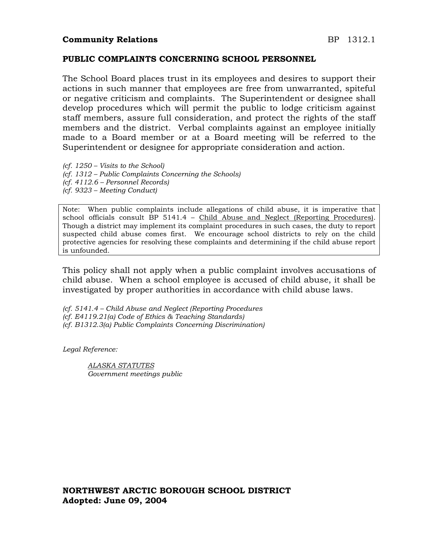#### **PUBLIC COMPLAINTS CONCERNING SCHOOL PERSONNEL**

The School Board places trust in its employees and desires to support their actions in such manner that employees are free from unwarranted, spiteful or negative criticism and complaints. The Superintendent or designee shall develop procedures which will permit the public to lodge criticism against staff members, assure full consideration, and protect the rights of the staff members and the district. Verbal complaints against an employee initially made to a Board member or at a Board meeting will be referred to the Superintendent or designee for appropriate consideration and action.

- *(cf. 1250 – Visits to the School)*
- *(cf. 1312 – Public Complaints Concerning the Schools)*
- *(cf. 4112.6 – Personnel Records)*
- *(cf. 9323 – Meeting Conduct)*

Note: When public complaints include allegations of child abuse, it is imperative that school officials consult BP 5141.4 - Child Abuse and Neglect (Reporting Procedures). Though a district may implement its complaint procedures in such cases, the duty to report suspected child abuse comes first. We encourage school districts to rely on the child protective agencies for resolving these complaints and determining if the child abuse report is unfounded.

This policy shall not apply when a public complaint involves accusations of child abuse. When a school employee is accused of child abuse, it shall be investigated by proper authorities in accordance with child abuse laws.

*(cf. 5141.4 – Child Abuse and Neglect (Reporting Procedures (cf. E4119.21(a) Code of Ethics & Teaching Standards) (cf. B1312.3(a) Public Complaints Concerning Discrimination)*

*Legal Reference:*

*ALASKA STATUTES Government meetings public*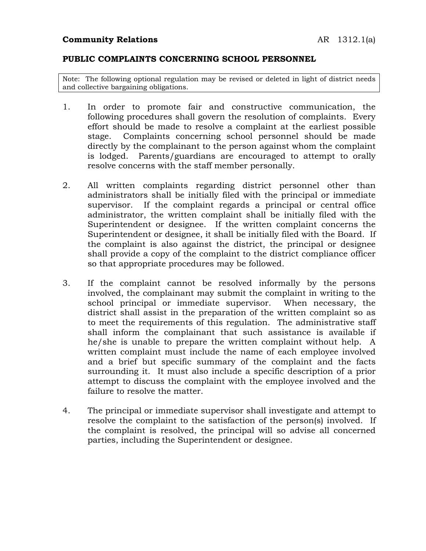## **PUBLIC COMPLAINTS CONCERNING SCHOOL PERSONNEL**

Note: The following optional regulation may be revised or deleted in light of district needs and collective bargaining obligations.

- 1. In order to promote fair and constructive communication, the following procedures shall govern the resolution of complaints. Every effort should be made to resolve a complaint at the earliest possible stage. Complaints concerning school personnel should be made directly by the complainant to the person against whom the complaint is lodged. Parents/guardians are encouraged to attempt to orally resolve concerns with the staff member personally.
- 2. All written complaints regarding district personnel other than administrators shall be initially filed with the principal or immediate supervisor. If the complaint regards a principal or central office administrator, the written complaint shall be initially filed with the Superintendent or designee. If the written complaint concerns the Superintendent or designee, it shall be initially filed with the Board. If the complaint is also against the district, the principal or designee shall provide a copy of the complaint to the district compliance officer so that appropriate procedures may be followed.
- 3. If the complaint cannot be resolved informally by the persons involved, the complainant may submit the complaint in writing to the school principal or immediate supervisor. When necessary, the district shall assist in the preparation of the written complaint so as to meet the requirements of this regulation. The administrative staff shall inform the complainant that such assistance is available if he/she is unable to prepare the written complaint without help. A written complaint must include the name of each employee involved and a brief but specific summary of the complaint and the facts surrounding it. It must also include a specific description of a prior attempt to discuss the complaint with the employee involved and the failure to resolve the matter.
- 4. The principal or immediate supervisor shall investigate and attempt to resolve the complaint to the satisfaction of the person(s) involved. If the complaint is resolved, the principal will so advise all concerned parties, including the Superintendent or designee.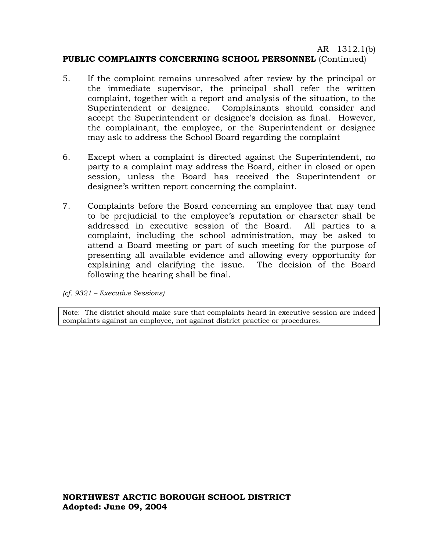AR 1312.1(b)

## **PUBLIC COMPLAINTS CONCERNING SCHOOL PERSONNEL** (Continued)

- 5. If the complaint remains unresolved after review by the principal or the immediate supervisor, the principal shall refer the written complaint, together with a report and analysis of the situation, to the Superintendent or designee. Complainants should consider and accept the Superintendent or designee's decision as final. However, the complainant, the employee, or the Superintendent or designee may ask to address the School Board regarding the complaint
- 6. Except when a complaint is directed against the Superintendent, no party to a complaint may address the Board, either in closed or open session, unless the Board has received the Superintendent or designee's written report concerning the complaint.
- 7. Complaints before the Board concerning an employee that may tend to be prejudicial to the employee's reputation or character shall be addressed in executive session of the Board. All parties to a complaint, including the school administration, may be asked to attend a Board meeting or part of such meeting for the purpose of presenting all available evidence and allowing every opportunity for explaining and clarifying the issue. The decision of the Board following the hearing shall be final.

*(cf. 9321 – Executive Sessions)*

Note: The district should make sure that complaints heard in executive session are indeed complaints against an employee, not against district practice or procedures.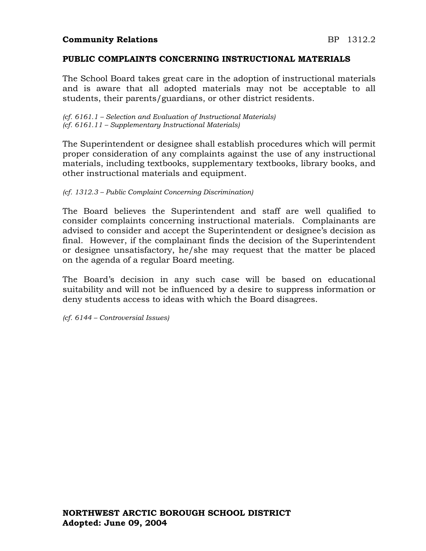## **Community Relations BP** 1312.2

### **PUBLIC COMPLAINTS CONCERNING INSTRUCTIONAL MATERIALS**

The School Board takes great care in the adoption of instructional materials and is aware that all adopted materials may not be acceptable to all students, their parents/guardians, or other district residents.

*(cf. 6161.1 – Selection and Evaluation of Instructional Materials) (cf. 6161.11 – Supplementary Instructional Materials)*

The Superintendent or designee shall establish procedures which will permit proper consideration of any complaints against the use of any instructional materials, including textbooks, supplementary textbooks, library books, and other instructional materials and equipment.

*(cf. 1312.3 – Public Complaint Concerning Discrimination)*

The Board believes the Superintendent and staff are well qualified to consider complaints concerning instructional materials. Complainants are advised to consider and accept the Superintendent or designee's decision as final. However, if the complainant finds the decision of the Superintendent or designee unsatisfactory, he/she may request that the matter be placed on the agenda of a regular Board meeting.

The Board's decision in any such case will be based on educational suitability and will not be influenced by a desire to suppress information or deny students access to ideas with which the Board disagrees.

*(cf. 6144 – Controversial Issues)*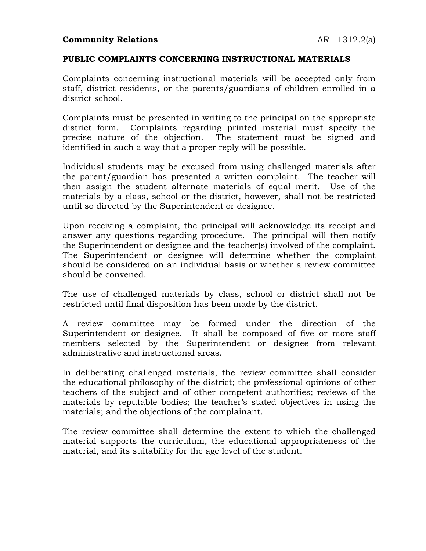## **Community Relations** AR 1312.2(a)

### **PUBLIC COMPLAINTS CONCERNING INSTRUCTIONAL MATERIALS**

Complaints concerning instructional materials will be accepted only from staff, district residents, or the parents/guardians of children enrolled in a district school.

Complaints must be presented in writing to the principal on the appropriate district form. Complaints regarding printed material must specify the precise nature of the objection. The statement must be signed and identified in such a way that a proper reply will be possible.

Individual students may be excused from using challenged materials after the parent/guardian has presented a written complaint. The teacher will then assign the student alternate materials of equal merit. Use of the materials by a class, school or the district, however, shall not be restricted until so directed by the Superintendent or designee.

Upon receiving a complaint, the principal will acknowledge its receipt and answer any questions regarding procedure. The principal will then notify the Superintendent or designee and the teacher(s) involved of the complaint. The Superintendent or designee will determine whether the complaint should be considered on an individual basis or whether a review committee should be convened.

The use of challenged materials by class, school or district shall not be restricted until final disposition has been made by the district.

A review committee may be formed under the direction of the Superintendent or designee. It shall be composed of five or more staff members selected by the Superintendent or designee from relevant administrative and instructional areas.

In deliberating challenged materials, the review committee shall consider the educational philosophy of the district; the professional opinions of other teachers of the subject and of other competent authorities; reviews of the materials by reputable bodies; the teacher's stated objectives in using the materials; and the objections of the complainant.

The review committee shall determine the extent to which the challenged material supports the curriculum, the educational appropriateness of the material, and its suitability for the age level of the student.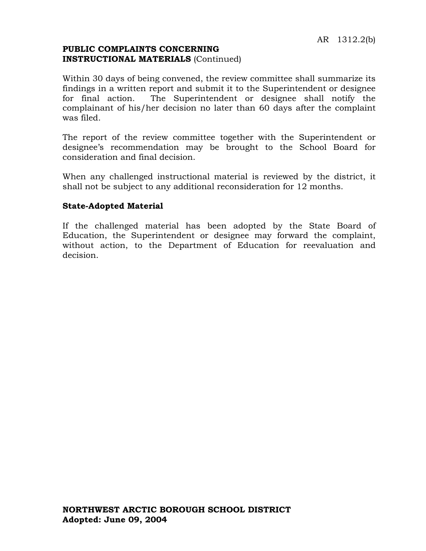## **PUBLIC COMPLAINTS CONCERNING INSTRUCTIONAL MATERIALS** (Continued)

Within 30 days of being convened, the review committee shall summarize its findings in a written report and submit it to the Superintendent or designee for final action. The Superintendent or designee shall notify the complainant of his/her decision no later than 60 days after the complaint was filed.

The report of the review committee together with the Superintendent or designee's recommendation may be brought to the School Board for consideration and final decision.

When any challenged instructional material is reviewed by the district, it shall not be subject to any additional reconsideration for 12 months.

## **State-Adopted Material**

If the challenged material has been adopted by the State Board of Education, the Superintendent or designee may forward the complaint, without action, to the Department of Education for reevaluation and decision.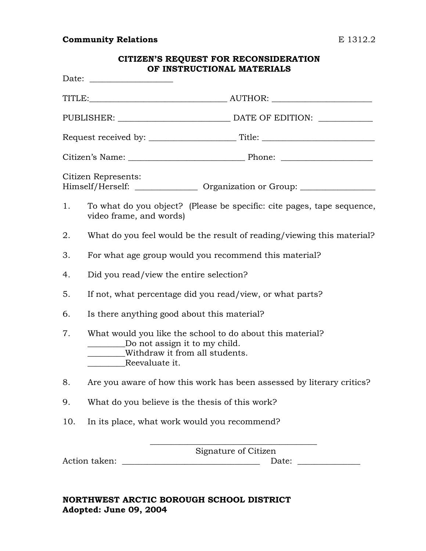# **Community Relations** E 1312.2

| <b>CITIZEN'S REQUEST FOR RECONSIDERATION</b><br>OF INSTRUCTIONAL MATERIALS |                                                                                                                                                                                 |  |
|----------------------------------------------------------------------------|---------------------------------------------------------------------------------------------------------------------------------------------------------------------------------|--|
|                                                                            |                                                                                                                                                                                 |  |
|                                                                            |                                                                                                                                                                                 |  |
|                                                                            |                                                                                                                                                                                 |  |
|                                                                            |                                                                                                                                                                                 |  |
|                                                                            |                                                                                                                                                                                 |  |
|                                                                            | Citizen Represents:<br>Himself/Herself: ________________ Organization or Group: _______________________                                                                         |  |
| 1.                                                                         | To what do you object? (Please be specific: cite pages, tape sequence,<br>video frame, and words)                                                                               |  |
| 2.                                                                         | What do you feel would be the result of reading/viewing this material?                                                                                                          |  |
| 3.                                                                         | For what age group would you recommend this material?                                                                                                                           |  |
| 4.                                                                         | Did you read/view the entire selection?                                                                                                                                         |  |
| 5.                                                                         | If not, what percentage did you read/view, or what parts?                                                                                                                       |  |
| 6.                                                                         | Is there anything good about this material?                                                                                                                                     |  |
| 7.                                                                         | What would you like the school to do about this material?<br>Do not assign it to my child.<br><u> Liberal Communication</u><br>Withdraw it from all students.<br>Reevaluate it. |  |
| 8.                                                                         | Are you aware of how this work has been assessed by literary critics?                                                                                                           |  |
| 9.                                                                         | What do you believe is the thesis of this work?                                                                                                                                 |  |
| 10.                                                                        | In its place, what work would you recommend?                                                                                                                                    |  |
|                                                                            | Signature of Citizen<br>Action taken:<br>Date:                                                                                                                                  |  |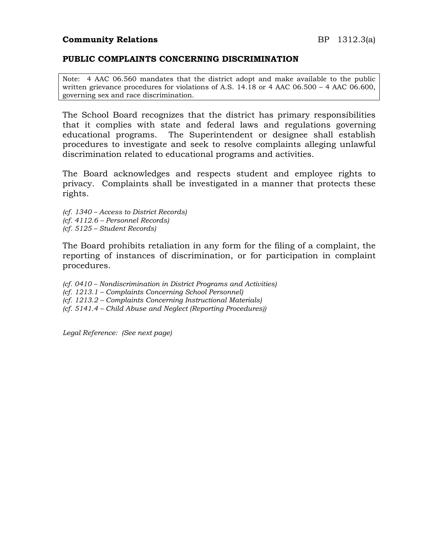#### **PUBLIC COMPLAINTS CONCERNING DISCRIMINATION**

Note: 4 AAC 06.560 mandates that the district adopt and make available to the public written grievance procedures for violations of A.S. 14.18 or 4 AAC 06.500 – 4 AAC 06.600, governing sex and race discrimination.

The School Board recognizes that the district has primary responsibilities that it complies with state and federal laws and regulations governing educational programs. The Superintendent or designee shall establish procedures to investigate and seek to resolve complaints alleging unlawful discrimination related to educational programs and activities.

The Board acknowledges and respects student and employee rights to privacy. Complaints shall be investigated in a manner that protects these rights.

*(cf. 1340 – Access to District Records) (cf. 4112.6 – Personnel Records) (cf. 5125 – Student Records)*

The Board prohibits retaliation in any form for the filing of a complaint, the reporting of instances of discrimination, or for participation in complaint procedures.

*(cf. 0410 – Nondiscrimination in District Programs and Activities) (cf. 1213.1 – Complaints Concerning School Personnel)*

*(cf. 1213.2 – Complaints Concerning Instructional Materials)*

*(cf. 5141.4 – Child Abuse and Neglect (Reporting Procedures))*

*Legal Reference: (See next page)*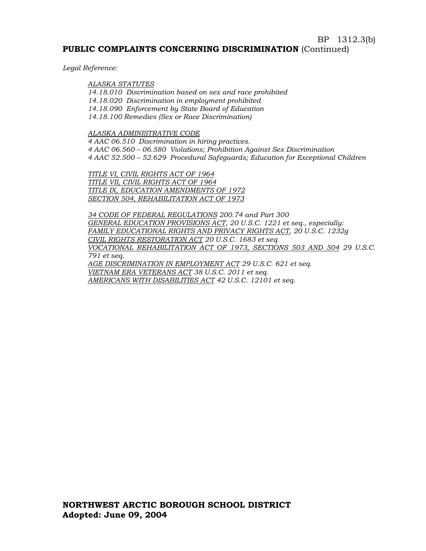#### BP 1312.3(b)

#### **PUBLIC COMPLAINTS CONCERNING DISCRIMINATION** (Continued)

*Legal Reference:*

#### *ALASKA STATUTES*

*14.18.010 Discrimination based on sex and race prohibited 14.18.020 Discrimination in employment prohibited 14.18.090 Enforcement by State Board of Education 14.18.100 Remedies (Sex or Race Discrimination)*

#### *ALASKA ADMINISTRATIVE CODE*

*4 AAC 06.510 Discrimination in hiring practices. 4 AAC 06.560 – 06.580 Violations; Prohibition Against Sex Discrimination 4 AAC 52.500 – 52.629 Procedural Safeguards; Education for Exceptional Children*

*TITLE VI, CIVIL RIGHTS ACT OF 1964 TITLE VII, CIVIL RIGHTS ACT OF 1964 TITLE IX, EDUCATION AMENDMENTS OF 1972 SECTION 504, REHABILITATION ACT OF 1973*

*34 CODE OF FEDERAL REGULATIONS 200.74 and Part 300 GENERAL EDUCATION PROVISIONS ACT, 20 U.S.C. 1221 et seq., especially: FAMILY EDUCATIONAL RIGHTS AND PRIVACY RIGHTS ACT, 20 U.S.C. 1232g CIVIL RIGHTS RESTORATION ACT 20 U.S.C. 1683 et seq. VOCATIONAL REHABILITATION ACT OF 1973, SECTIONS 503 AND 504 29 U.S.C. 791 et seq. AGE DISCRIMINATION IN EMPLOYMENT ACT 29 U.S.C. 621 et seq. VIETNAM ERA VETERANS ACT 38 U.S.C. 2011 et seq. AMERICANS WITH DISABILITIES ACT 42 U.S.C. 12101 et seq.*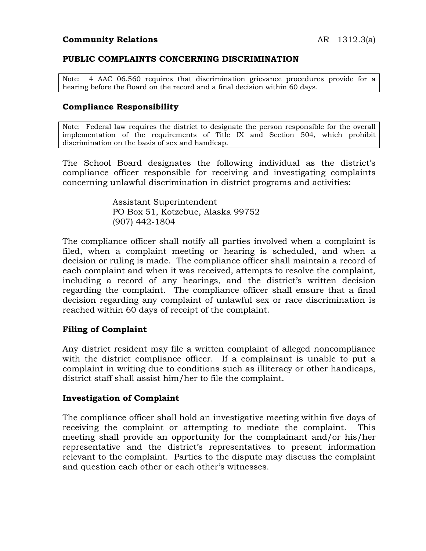### **PUBLIC COMPLAINTS CONCERNING DISCRIMINATION**

Note: 4 AAC 06.560 requires that discrimination grievance procedures provide for a hearing before the Board on the record and a final decision within 60 days.

#### **Compliance Responsibility**

Note: Federal law requires the district to designate the person responsible for the overall implementation of the requirements of Title IX and Section 504, which prohibit discrimination on the basis of sex and handicap.

The School Board designates the following individual as the district's compliance officer responsible for receiving and investigating complaints concerning unlawful discrimination in district programs and activities:

> Assistant Superintendent PO Box 51, Kotzebue, Alaska 99752 (907) 442-1804

The compliance officer shall notify all parties involved when a complaint is filed, when a complaint meeting or hearing is scheduled, and when a decision or ruling is made. The compliance officer shall maintain a record of each complaint and when it was received, attempts to resolve the complaint, including a record of any hearings, and the district's written decision regarding the complaint. The compliance officer shall ensure that a final decision regarding any complaint of unlawful sex or race discrimination is reached within 60 days of receipt of the complaint.

#### **Filing of Complaint**

Any district resident may file a written complaint of alleged noncompliance with the district compliance officer. If a complainant is unable to put a complaint in writing due to conditions such as illiteracy or other handicaps, district staff shall assist him/her to file the complaint.

#### **Investigation of Complaint**

The compliance officer shall hold an investigative meeting within five days of receiving the complaint or attempting to mediate the complaint. This meeting shall provide an opportunity for the complainant and/or his/her representative and the district's representatives to present information relevant to the complaint. Parties to the dispute may discuss the complaint and question each other or each other's witnesses.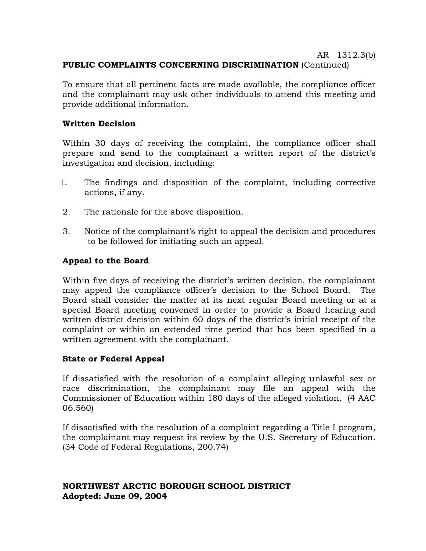## AR 1312.3(b) **PUBLIC COMPLAINTS CONCERNING DISCRIMINATION** (Continued)

To ensure that all pertinent facts are made available, the compliance officer and the complainant may ask other individuals to attend this meeting and provide additional information.

## **Written Decision**

Within 30 days of receiving the complaint, the compliance officer shall prepare and send to the complainant a written report of the district's investigation and decision, including:

- 1. The findings and disposition of the complaint, including corrective actions, if any.
- 2. The rationale for the above disposition.
- 3. Notice of the complainant's right to appeal the decision and procedures to be followed for initiating such an appeal.

## **Appeal to the Board**

Within five days of receiving the district's written decision, the complainant may appeal the compliance officer's decision to the School Board. The Board shall consider the matter at its next regular Board meeting or at a special Board meeting convened in order to provide a Board hearing and written district decision within 60 days of the district's initial receipt of the complaint or within an extended time period that has been specified in a written agreement with the complainant.

## **State or Federal Appeal**

If dissatisfied with the resolution of a complaint alleging unlawful sex or race discrimination, the complainant may file an appeal with the Commissioner of Education within 180 days of the alleged violation. (4 AAC 06.560)

If dissatisfied with the resolution of a complaint regarding a Title I program, the complainant may request its review by the U.S. Secretary of Education. (34 Code of Federal Regulations, 200.74)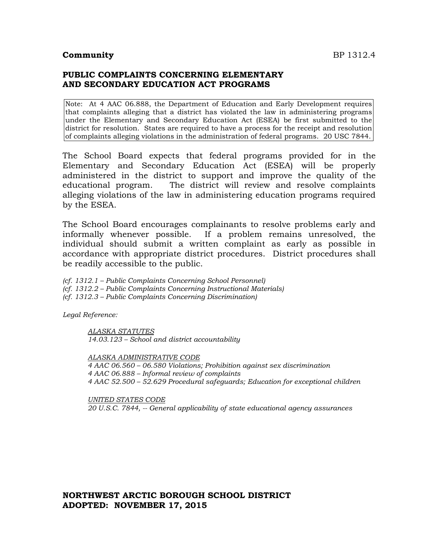#### **Community** BP 1312.4

## **PUBLIC COMPLAINTS CONCERNING ELEMENTARY AND SECONDARY EDUCATION ACT PROGRAMS**

Note: At 4 AAC 06.888, the Department of Education and Early Development requires that complaints alleging that a district has violated the law in administering programs under the Elementary and Secondary Education Act (ESEA) be first submitted to the district for resolution. States are required to have a process for the receipt and resolution of complaints alleging violations in the administration of federal programs. 20 USC 7844.

The School Board expects that federal programs provided for in the Elementary and Secondary Education Act (ESEA) will be properly administered in the district to support and improve the quality of the educational program. The district will review and resolve complaints alleging violations of the law in administering education programs required by the ESEA.

The School Board encourages complainants to resolve problems early and informally whenever possible. If a problem remains unresolved, the individual should submit a written complaint as early as possible in accordance with appropriate district procedures. District procedures shall be readily accessible to the public.

*(cf. 1312.1 – Public Complaints Concerning School Personnel) (cf. 1312.2 – Public Complaints Concerning Instructional Materials) (cf. 1312.3 – Public Complaints Concerning Discrimination)*

*Legal Reference:*

*ALASKA STATUTES 14.03.123 – School and district accountability*

*ALASKA ADMINISTRATIVE CODE 4 AAC 06.560 – 06.580 Violations; Prohibition against sex discrimination 4 AAC 06.888 – Informal review of complaints 4 AAC 52.500 – 52.629 Procedural safeguards; Education for exceptional children*

*UNITED STATES CODE 20 U.S.C. 7844, -- General applicability of state educational agency assurances*

## **NORTHWEST ARCTIC BOROUGH SCHOOL DISTRICT ADOPTED: NOVEMBER 17, 2015**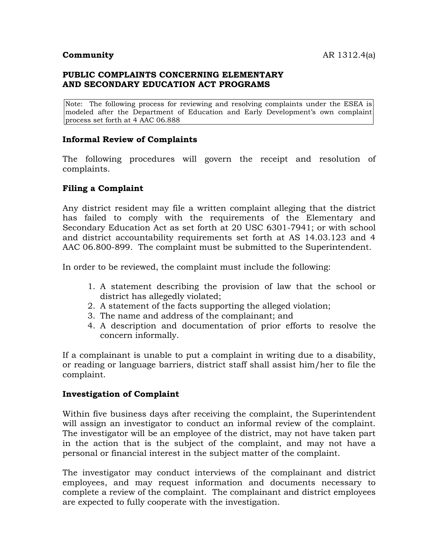## **PUBLIC COMPLAINTS CONCERNING ELEMENTARY AND SECONDARY EDUCATION ACT PROGRAMS**

Note: The following process for reviewing and resolving complaints under the ESEA is modeled after the Department of Education and Early Development's own complaint process set forth at 4 AAC 06.888

## **Informal Review of Complaints**

The following procedures will govern the receipt and resolution of complaints.

## **Filing a Complaint**

Any district resident may file a written complaint alleging that the district has failed to comply with the requirements of the Elementary and Secondary Education Act as set forth at 20 USC 6301-7941; or with school and district accountability requirements set forth at AS 14.03.123 and 4 AAC 06.800-899. The complaint must be submitted to the Superintendent.

In order to be reviewed, the complaint must include the following:

- 1. A statement describing the provision of law that the school or district has allegedly violated;
- 2. A statement of the facts supporting the alleged violation;
- 3. The name and address of the complainant; and
- 4. A description and documentation of prior efforts to resolve the concern informally.

If a complainant is unable to put a complaint in writing due to a disability, or reading or language barriers, district staff shall assist him/her to file the complaint.

### **Investigation of Complaint**

Within five business days after receiving the complaint, the Superintendent will assign an investigator to conduct an informal review of the complaint. The investigator will be an employee of the district, may not have taken part in the action that is the subject of the complaint, and may not have a personal or financial interest in the subject matter of the complaint.

The investigator may conduct interviews of the complainant and district employees, and may request information and documents necessary to complete a review of the complaint. The complainant and district employees are expected to fully cooperate with the investigation.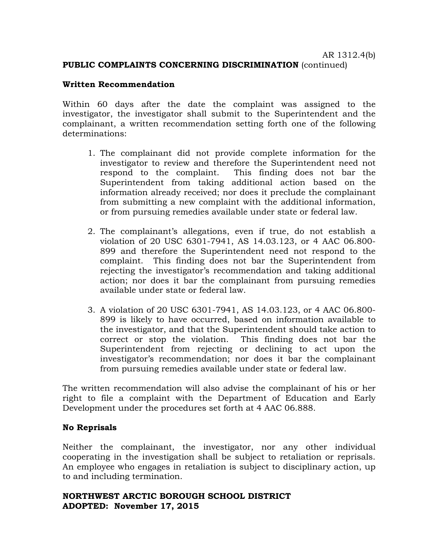#### **PUBLIC COMPLAINTS CONCERNING DISCRIMINATION** (continued)

#### **Written Recommendation**

Within 60 days after the date the complaint was assigned to the investigator, the investigator shall submit to the Superintendent and the complainant, a written recommendation setting forth one of the following determinations:

- 1. The complainant did not provide complete information for the investigator to review and therefore the Superintendent need not respond to the complaint. This finding does not bar the Superintendent from taking additional action based on the information already received; nor does it preclude the complainant from submitting a new complaint with the additional information, or from pursuing remedies available under state or federal law.
- 2. The complainant's allegations, even if true, do not establish a violation of 20 USC 6301-7941, AS 14.03.123, or 4 AAC 06.800- 899 and therefore the Superintendent need not respond to the complaint. This finding does not bar the Superintendent from rejecting the investigator's recommendation and taking additional action; nor does it bar the complainant from pursuing remedies available under state or federal law.
- 3. A violation of 20 USC 6301-7941, AS 14.03.123, or 4 AAC 06.800- 899 is likely to have occurred, based on information available to the investigator, and that the Superintendent should take action to correct or stop the violation. This finding does not bar the Superintendent from rejecting or declining to act upon the investigator's recommendation; nor does it bar the complainant from pursuing remedies available under state or federal law.

The written recommendation will also advise the complainant of his or her right to file a complaint with the Department of Education and Early Development under the procedures set forth at 4 AAC 06.888.

#### **No Reprisals**

Neither the complainant, the investigator, nor any other individual cooperating in the investigation shall be subject to retaliation or reprisals. An employee who engages in retaliation is subject to disciplinary action, up to and including termination.

#### **NORTHWEST ARCTIC BOROUGH SCHOOL DISTRICT ADOPTED: November 17, 2015**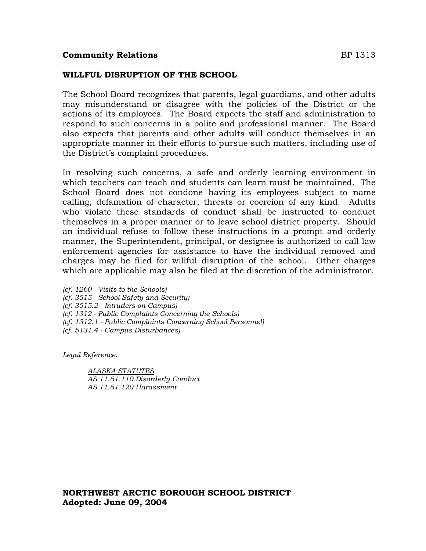### **Community Relations BP** 1313

## **WILLFUL DISRUPTION OF THE SCHOOL**

The School Board recognizes that parents, legal guardians, and other adults may misunderstand or disagree with the policies of the District or the actions of its employees. The Board expects the staff and administration to respond to such concerns in a polite and professional manner. The Board also expects that parents and other adults will conduct themselves in an appropriate manner in their efforts to pursue such matters, including use of the District's complaint procedures.

In resolving such concerns, a safe and orderly learning environment in which teachers can teach and students can learn must be maintained. The School Board does not condone having its employees subject to name calling, defamation of character, threats or coercion of any kind. Adults who violate these standards of conduct shall be instructed to conduct themselves in a proper manner or to leave school district property. Should an individual refuse to follow these instructions in a prompt and orderly manner, the Superintendent, principal, or designee is authorized to call law enforcement agencies for assistance to have the individual removed and charges may be filed for willful disruption of the school. Other charges which are applicable may also be filed at the discretion of the administrator.

*(cf. 1260 - Visits to the Schools) (cf. 3515 - School Safety and Security) (cf. 3515.2 - Intruders on Campus) (cf. 1312 - Public Complaints Concerning the Schools) (cf. 1312.1 - Public Complaints Concerning School Personnel) (cf. 5131.4 - Campus Disturbances)*

*Legal Reference:*

*ALASKA STATUTES AS 11.61.110 Disorderly Conduct AS 11.61.120 Harassment*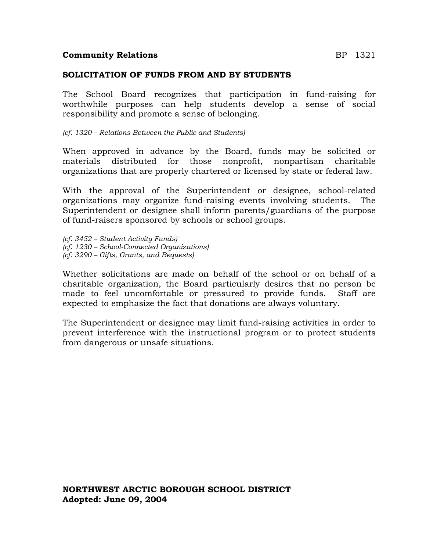### **Community Relations** BP 1321

#### **SOLICITATION OF FUNDS FROM AND BY STUDENTS**

The School Board recognizes that participation in fund-raising for worthwhile purposes can help students develop a sense of social responsibility and promote a sense of belonging.

*(cf. 1320 – Relations Between the Public and Students)*

When approved in advance by the Board, funds may be solicited or materials distributed for those nonprofit, nonpartisan charitable organizations that are properly chartered or licensed by state or federal law.

With the approval of the Superintendent or designee, school-related organizations may organize fund-raising events involving students. The Superintendent or designee shall inform parents/guardians of the purpose of fund-raisers sponsored by schools or school groups.

*(cf. 3452 – Student Activity Funds) (cf. 1230 – School-Connected Organizations) (cf. 3290 – Gifts, Grants, and Bequests)*

Whether solicitations are made on behalf of the school or on behalf of a charitable organization, the Board particularly desires that no person be made to feel uncomfortable or pressured to provide funds. Staff are expected to emphasize the fact that donations are always voluntary.

The Superintendent or designee may limit fund-raising activities in order to prevent interference with the instructional program or to protect students from dangerous or unsafe situations.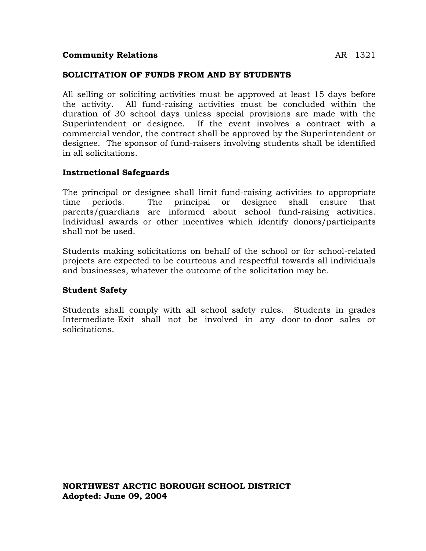## **Community Relations** AR 1321

#### **SOLICITATION OF FUNDS FROM AND BY STUDENTS**

All selling or soliciting activities must be approved at least 15 days before the activity. All fund-raising activities must be concluded within the duration of 30 school days unless special provisions are made with the Superintendent or designee. If the event involves a contract with a commercial vendor, the contract shall be approved by the Superintendent or designee. The sponsor of fund-raisers involving students shall be identified in all solicitations.

#### **Instructional Safeguards**

The principal or designee shall limit fund-raising activities to appropriate time periods. The principal or designee shall ensure that parents/guardians are informed about school fund-raising activities. Individual awards or other incentives which identify donors/participants shall not be used.

Students making solicitations on behalf of the school or for school-related projects are expected to be courteous and respectful towards all individuals and businesses, whatever the outcome of the solicitation may be.

#### **Student Safety**

Students shall comply with all school safety rules. Students in grades Intermediate-Exit shall not be involved in any door-to-door sales or solicitations.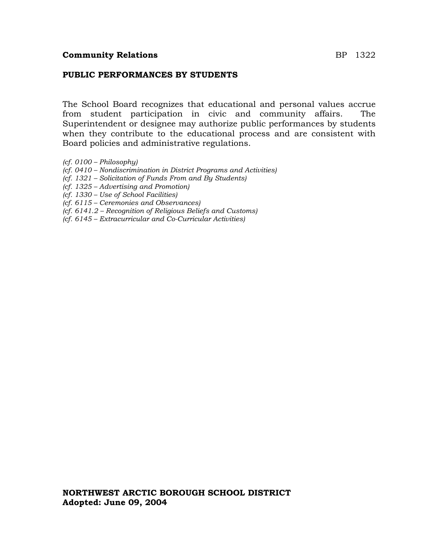### **PUBLIC PERFORMANCES BY STUDENTS**

The School Board recognizes that educational and personal values accrue from student participation in civic and community affairs. The Superintendent or designee may authorize public performances by students when they contribute to the educational process and are consistent with Board policies and administrative regulations.

- *(cf. 0100 – Philosophy)*
- *(cf. 0410 – Nondiscrimination in District Programs and Activities)*
- *(cf. 1321 – Solicitation of Funds From and By Students)*
- *(cf. 1325 – Advertising and Promotion)*
- *(cf. 1330 – Use of School Facilities)*
- *(cf. 6115 – Ceremonies and Observances)*
- *(cf. 6141.2 – Recognition of Religious Beliefs and Customs)*
- *(cf. 6145 – Extracurricular and Co-Curricular Activities)*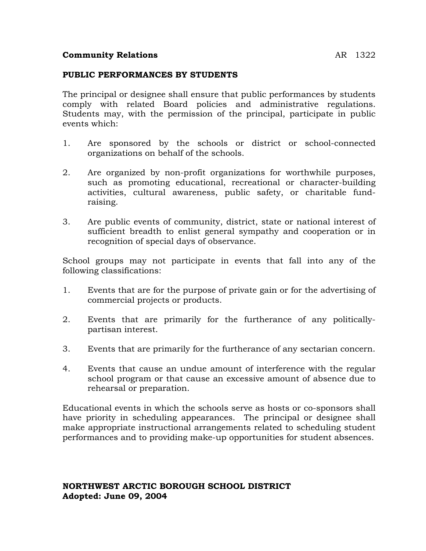## **Community Relations** AR 1322

### **PUBLIC PERFORMANCES BY STUDENTS**

The principal or designee shall ensure that public performances by students comply with related Board policies and administrative regulations. Students may, with the permission of the principal, participate in public events which:

- 1. Are sponsored by the schools or district or school-connected organizations on behalf of the schools.
- 2. Are organized by non-profit organizations for worthwhile purposes, such as promoting educational, recreational or character-building activities, cultural awareness, public safety, or charitable fundraising.
- 3. Are public events of community, district, state or national interest of sufficient breadth to enlist general sympathy and cooperation or in recognition of special days of observance.

School groups may not participate in events that fall into any of the following classifications:

- 1. Events that are for the purpose of private gain or for the advertising of commercial projects or products.
- 2. Events that are primarily for the furtherance of any politicallypartisan interest.
- 3. Events that are primarily for the furtherance of any sectarian concern.
- 4. Events that cause an undue amount of interference with the regular school program or that cause an excessive amount of absence due to rehearsal or preparation.

Educational events in which the schools serve as hosts or co-sponsors shall have priority in scheduling appearances. The principal or designee shall make appropriate instructional arrangements related to scheduling student performances and to providing make-up opportunities for student absences.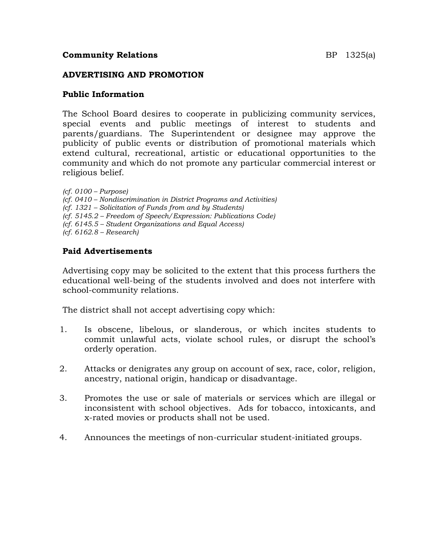## **Community Relations BP** 1325(a)

### **ADVERTISING AND PROMOTION**

#### **Public Information**

The School Board desires to cooperate in publicizing community services, special events and public meetings of interest to students and parents/guardians. The Superintendent or designee may approve the publicity of public events or distribution of promotional materials which extend cultural, recreational, artistic or educational opportunities to the community and which do not promote any particular commercial interest or religious belief.

*(cf. 0100 – Purpose) (cf. 0410 – Nondiscrimination in District Programs and Activities) (cf. 1321 – Solicitation of Funds from and by Students) (cf. 5145.2 – Freedom of Speech/Expression: Publications Code) (cf. 6145.5 – Student Organizations and Equal Access) (cf. 6162.8 – Research)*

## **Paid Advertisements**

Advertising copy may be solicited to the extent that this process furthers the educational well-being of the students involved and does not interfere with school-community relations.

The district shall not accept advertising copy which:

- 1. Is obscene, libelous, or slanderous, or which incites students to commit unlawful acts, violate school rules, or disrupt the school's orderly operation.
- 2. Attacks or denigrates any group on account of sex, race, color, religion, ancestry, national origin, handicap or disadvantage.
- 3. Promotes the use or sale of materials or services which are illegal or inconsistent with school objectives. Ads for tobacco, intoxicants, and x-rated movies or products shall not be used.
- 4. Announces the meetings of non-curricular student-initiated groups.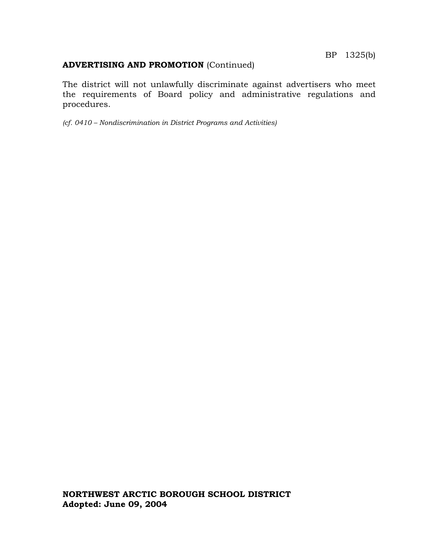# **ADVERTISING AND PROMOTION** (Continued)

The district will not unlawfully discriminate against advertisers who meet the requirements of Board policy and administrative regulations and procedures.

*(cf. 0410 – Nondiscrimination in District Programs and Activities)*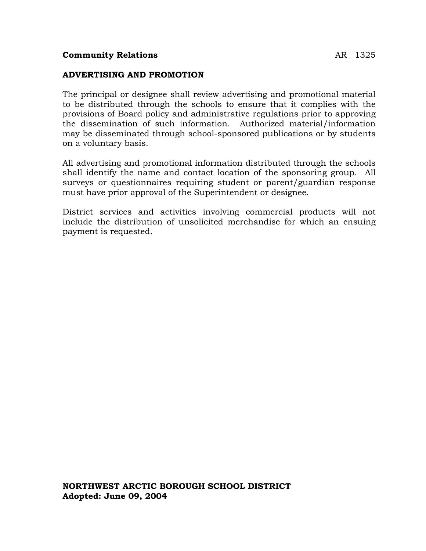## **ADVERTISING AND PROMOTION**

The principal or designee shall review advertising and promotional material to be distributed through the schools to ensure that it complies with the provisions of Board policy and administrative regulations prior to approving the dissemination of such information. Authorized material/information may be disseminated through school-sponsored publications or by students on a voluntary basis.

All advertising and promotional information distributed through the schools shall identify the name and contact location of the sponsoring group. All surveys or questionnaires requiring student or parent/guardian response must have prior approval of the Superintendent or designee.

District services and activities involving commercial products will not include the distribution of unsolicited merchandise for which an ensuing payment is requested.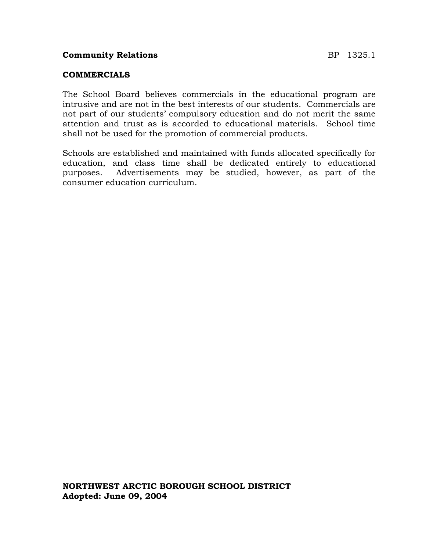The School Board believes commercials in the educational program are intrusive and are not in the best interests of our students. Commercials are not part of our students' compulsory education and do not merit the same attention and trust as is accorded to educational materials. School time shall not be used for the promotion of commercial products.

Schools are established and maintained with funds allocated specifically for education, and class time shall be dedicated entirely to educational purposes. Advertisements may be studied, however, as part of the consumer education curriculum.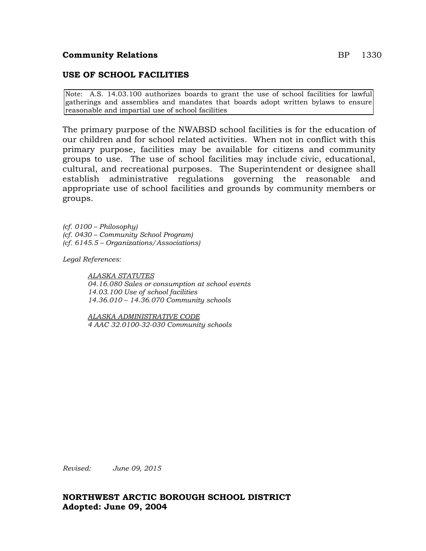#### **Community Relations** BP 1330

### **USE OF SCHOOL FACILITIES**

Note: A.S. 14.03.100 authorizes boards to grant the use of school facilities for lawful gatherings and assemblies and mandates that boards adopt written bylaws to ensure reasonable and impartial use of school facilities

The primary purpose of the NWABSD school facilities is for the education of our children and for school related activities. When not in conflict with this primary purpose, facilities may be available for citizens and community groups to use. The use of school facilities may include civic, educational, cultural, and recreational purposes. The Superintendent or designee shall establish administrative regulations governing the reasonable and appropriate use of school facilities and grounds by community members or groups.

*(cf. 0100 – Philosophy) (cf. 0430 – Community School Program) (cf. 6145.5 – Organizations/Associations)*

*Legal References:*

*ALASKA STATUTES 04.16.080 Sales or consumption at school events 14.03.100 Use of school facilities 14.36.010 – 14.36.070 Community schools*

*ALASKA ADMINISTRATIVE CODE 4 AAC 32.0100-32-030 Community schools*

*Revised: June 09, 2015*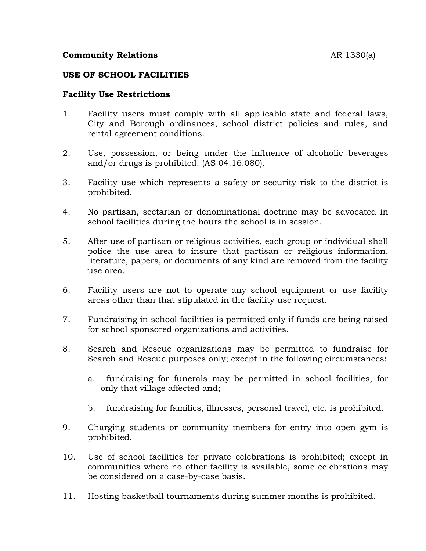## **Community Relations** AR 1330(a)

#### **USE OF SCHOOL FACILITIES**

## **Facility Use Restrictions**

- 1. Facility users must comply with all applicable state and federal laws, City and Borough ordinances, school district policies and rules, and rental agreement conditions.
- 2. Use, possession, or being under the influence of alcoholic beverages and/or drugs is prohibited. (AS 04.16.080).
- 3. Facility use which represents a safety or security risk to the district is prohibited.
- 4. No partisan, sectarian or denominational doctrine may be advocated in school facilities during the hours the school is in session.
- 5. After use of partisan or religious activities, each group or individual shall police the use area to insure that partisan or religious information, literature, papers, or documents of any kind are removed from the facility use area.
- 6. Facility users are not to operate any school equipment or use facility areas other than that stipulated in the facility use request.
- 7. Fundraising in school facilities is permitted only if funds are being raised for school sponsored organizations and activities.
- 8. Search and Rescue organizations may be permitted to fundraise for Search and Rescue purposes only; except in the following circumstances:
	- a. fundraising for funerals may be permitted in school facilities, for only that village affected and;
	- b. fundraising for families, illnesses, personal travel, etc. is prohibited.
- 9. Charging students or community members for entry into open gym is prohibited.
- 10. Use of school facilities for private celebrations is prohibited; except in communities where no other facility is available, some celebrations may be considered on a case-by-case basis.
- 11. Hosting basketball tournaments during summer months is prohibited.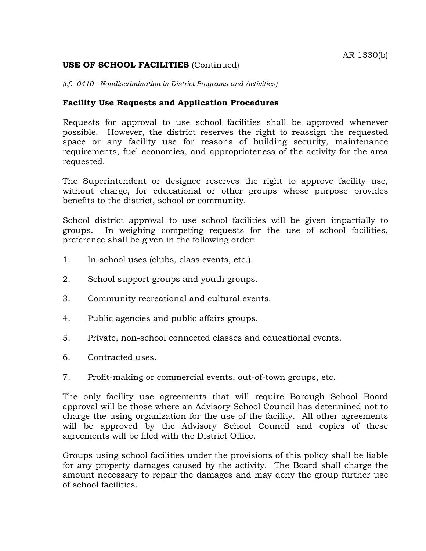## **USE OF SCHOOL FACILITIES** (Continued)

*(cf. 0410 - Nondiscrimination in District Programs and Activities)*

## **Facility Use Requests and Application Procedures**

Requests for approval to use school facilities shall be approved whenever possible. However, the district reserves the right to reassign the requested space or any facility use for reasons of building security, maintenance requirements, fuel economies, and appropriateness of the activity for the area requested.

The Superintendent or designee reserves the right to approve facility use, without charge, for educational or other groups whose purpose provides benefits to the district, school or community.

School district approval to use school facilities will be given impartially to groups. In weighing competing requests for the use of school facilities, preference shall be given in the following order:

- 1. In-school uses (clubs, class events, etc.).
- 2. School support groups and youth groups.
- 3. Community recreational and cultural events.
- 4. Public agencies and public affairs groups.
- 5. Private, non-school connected classes and educational events.
- 6. Contracted uses.
- 7. Profit-making or commercial events, out-of-town groups, etc.

The only facility use agreements that will require Borough School Board approval will be those where an Advisory School Council has determined not to charge the using organization for the use of the facility. All other agreements will be approved by the Advisory School Council and copies of these agreements will be filed with the District Office.

Groups using school facilities under the provisions of this policy shall be liable for any property damages caused by the activity. The Board shall charge the amount necessary to repair the damages and may deny the group further use of school facilities.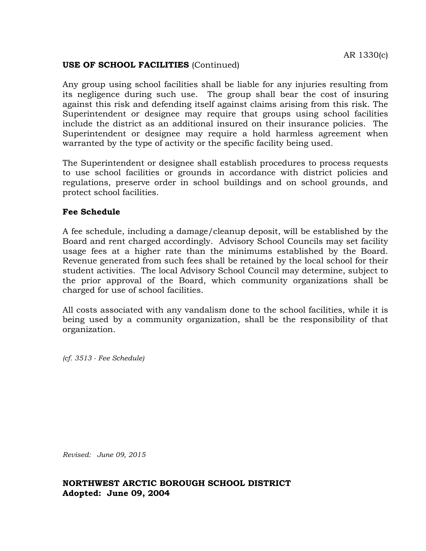## **USE OF SCHOOL FACILITIES** (Continued)

Any group using school facilities shall be liable for any injuries resulting from its negligence during such use. The group shall bear the cost of insuring against this risk and defending itself against claims arising from this risk. The Superintendent or designee may require that groups using school facilities include the district as an additional insured on their insurance policies. The Superintendent or designee may require a hold harmless agreement when warranted by the type of activity or the specific facility being used.

The Superintendent or designee shall establish procedures to process requests to use school facilities or grounds in accordance with district policies and regulations, preserve order in school buildings and on school grounds, and protect school facilities.

## **Fee Schedule**

A fee schedule, including a damage/cleanup deposit, will be established by the Board and rent charged accordingly. Advisory School Councils may set facility usage fees at a higher rate than the minimums established by the Board. Revenue generated from such fees shall be retained by the local school for their student activities. The local Advisory School Council may determine, subject to the prior approval of the Board, which community organizations shall be charged for use of school facilities.

All costs associated with any vandalism done to the school facilities, while it is being used by a community organization, shall be the responsibility of that organization.

*(cf. 3513 - Fee Schedule)* 

*Revised: June 09, 2015*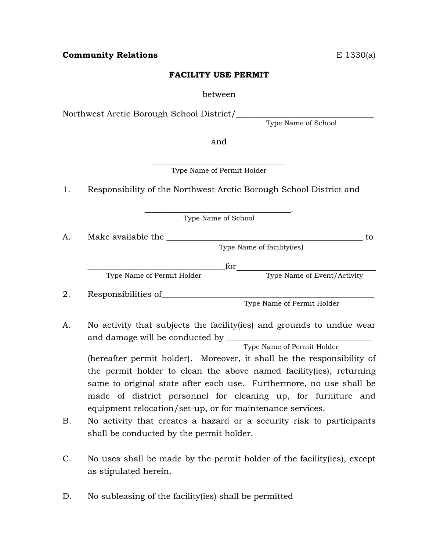## **FACILITY USE PERMIT**

between

Northwest Arctic Borough School District/\_\_\_\_\_\_\_\_\_\_\_\_\_\_\_\_\_\_\_\_\_\_\_\_\_\_\_\_\_\_\_\_\_

Type Name of School

and

 $\overline{\phantom{a}}$  , where  $\overline{\phantom{a}}$  , where  $\overline{\phantom{a}}$  , where  $\overline{\phantom{a}}$ Type Name of Permit Holder

1. Responsibility of the Northwest Arctic Borough School District and

\_\_\_\_\_\_\_\_\_\_\_\_\_\_\_\_\_\_\_\_\_\_\_\_\_\_\_\_\_\_\_\_\_\_\_. Type Name of School

A. Make available the \_\_\_\_\_\_\_\_\_\_\_\_\_\_\_\_\_\_\_\_\_\_\_\_\_\_\_\_\_\_\_\_\_\_\_\_\_\_\_\_\_\_\_\_\_\_\_ to Type Name of facility(ies)

 $\Box$  for

Type Name of Permit Holder Type Name of Event/Activity

- 2. Responsibilities of\_\_\_\_\_\_\_\_\_\_\_\_\_\_\_\_\_\_\_\_\_\_\_\_\_\_\_\_\_\_\_\_\_\_\_\_\_\_\_\_\_\_\_\_\_\_\_\_\_\_\_ Type Name of Permit Holder
- A. No activity that subjects the facility(ies) and grounds to undue wear and damage will be conducted by \_\_\_\_\_\_\_\_\_\_\_\_\_\_\_\_\_\_\_\_\_\_\_\_\_\_\_\_\_\_\_\_\_\_\_

Type Name of Permit Holder

(hereafter permit holder). Moreover, it shall be the responsibility of the permit holder to clean the above named facility(ies), returning same to original state after each use. Furthermore, no use shall be made of district personnel for cleaning up, for furniture and equipment relocation/set-up, or for maintenance services.

- B. No activity that creates a hazard or a security risk to participants shall be conducted by the permit holder.
- C. No uses shall be made by the permit holder of the facility(ies), except as stipulated herein.
- D. No subleasing of the facility (ies) shall be permitted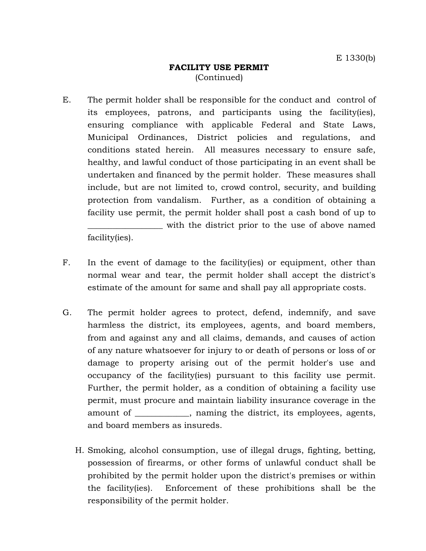## **FACILITY USE PERMIT** (Continued)

- E. The permit holder shall be responsible for the conduct and control of its employees, patrons, and participants using the facility(ies), ensuring compliance with applicable Federal and State Laws, Municipal Ordinances, District policies and regulations, and conditions stated herein. All measures necessary to ensure safe, healthy, and lawful conduct of those participating in an event shall be undertaken and financed by the permit holder. These measures shall include, but are not limited to, crowd control, security, and building protection from vandalism. Further, as a condition of obtaining a facility use permit, the permit holder shall post a cash bond of up to \_\_\_\_\_\_\_\_\_\_\_\_\_\_\_\_\_\_ with the district prior to the use of above named facility(ies).
- F. In the event of damage to the facility(ies) or equipment, other than normal wear and tear, the permit holder shall accept the district's estimate of the amount for same and shall pay all appropriate costs.
- G. The permit holder agrees to protect, defend, indemnify, and save harmless the district, its employees, agents, and board members, from and against any and all claims, demands, and causes of action of any nature whatsoever for injury to or death of persons or loss of or damage to property arising out of the permit holder's use and occupancy of the facility(ies) pursuant to this facility use permit. Further, the permit holder, as a condition of obtaining a facility use permit, must procure and maintain liability insurance coverage in the amount of \_\_\_\_\_\_\_\_\_\_, naming the district, its employees, agents, and board members as insureds.
	- H. Smoking, alcohol consumption, use of illegal drugs, fighting, betting, possession of firearms, or other forms of unlawful conduct shall be prohibited by the permit holder upon the district's premises or within the facility(ies). Enforcement of these prohibitions shall be the responsibility of the permit holder.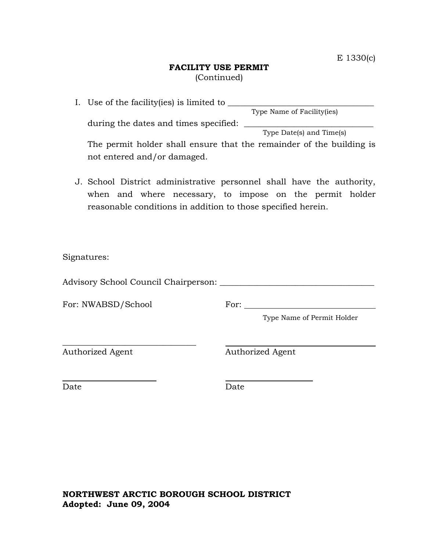## **FACILITY USE PERMIT** (Continued)

- I. Use of the facility(ies) is limited to \_\_\_\_\_\_\_\_\_\_\_\_\_\_\_\_\_\_\_\_\_\_\_\_\_\_\_\_\_\_\_\_\_\_\_ Type Name of Facility(ies) during the dates and times specified: \_\_\_\_\_\_\_\_\_\_\_\_\_\_\_\_\_\_\_\_\_\_\_\_\_\_\_\_\_\_\_ Type Date(s) and Time(s) The permit holder shall ensure that the remainder of the building is not entered and/or damaged.
- J. School District administrative personnel shall have the authority, when and where necessary, to impose on the permit holder reasonable conditions in addition to those specified herein.

Signatures:

Advisory School Council Chairperson: \_\_\_\_\_\_\_\_\_\_\_\_\_\_\_\_\_\_\_\_\_\_\_\_\_\_\_\_\_\_\_\_\_\_\_\_\_

\_\_\_\_\_\_\_\_\_\_\_\_\_\_\_\_\_\_\_\_\_\_\_\_\_\_\_\_\_\_\_\_

For: NWABSD/School For:

Type Name of Permit Holder

Authorized Agent **Authorized Agent** 

Date **Date** Date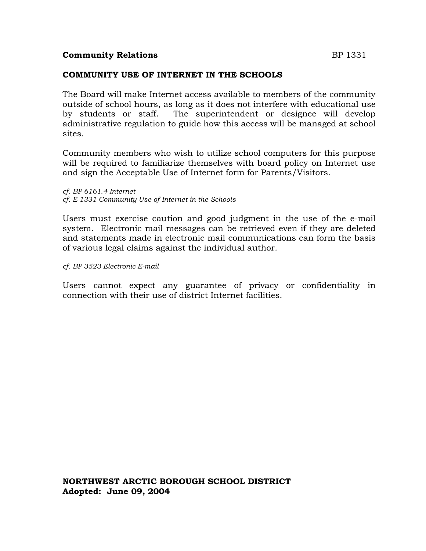### **Community Relations** BP 1331

## **COMMUNITY USE OF INTERNET IN THE SCHOOLS**

The Board will make Internet access available to members of the community outside of school hours, as long as it does not interfere with educational use by students or staff. The superintendent or designee will develop administrative regulation to guide how this access will be managed at school sites.

Community members who wish to utilize school computers for this purpose will be required to familiarize themselves with board policy on Internet use and sign the Acceptable Use of Internet form for Parents/Visitors.

*cf. BP 6161.4 Internet cf. E 1331 Community Use of Internet in the Schools*

Users must exercise caution and good judgment in the use of the e-mail system. Electronic mail messages can be retrieved even if they are deleted and statements made in electronic mail communications can form the basis of various legal claims against the individual author.

*cf. BP 3523 Electronic E-mail*

Users cannot expect any guarantee of privacy or confidentiality in connection with their use of district Internet facilities.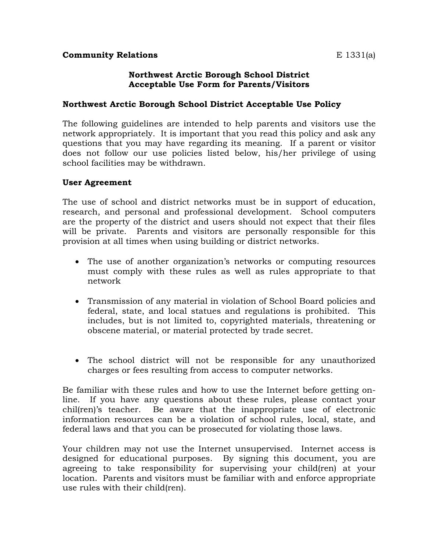## **Northwest Arctic Borough School District Acceptable Use Form for Parents/Visitors**

## **Northwest Arctic Borough School District Acceptable Use Policy**

The following guidelines are intended to help parents and visitors use the network appropriately. It is important that you read this policy and ask any questions that you may have regarding its meaning. If a parent or visitor does not follow our use policies listed below, his/her privilege of using school facilities may be withdrawn.

## **User Agreement**

The use of school and district networks must be in support of education, research, and personal and professional development. School computers are the property of the district and users should not expect that their files will be private. Parents and visitors are personally responsible for this provision at all times when using building or district networks.

- The use of another organization's networks or computing resources must comply with these rules as well as rules appropriate to that network
- Transmission of any material in violation of School Board policies and federal, state, and local statues and regulations is prohibited. This includes, but is not limited to, copyrighted materials, threatening or obscene material, or material protected by trade secret.
- The school district will not be responsible for any unauthorized charges or fees resulting from access to computer networks.

Be familiar with these rules and how to use the Internet before getting online. If you have any questions about these rules, please contact your chil(ren)'s teacher. Be aware that the inappropriate use of electronic information resources can be a violation of school rules, local, state, and federal laws and that you can be prosecuted for violating those laws.

Your children may not use the Internet unsupervised. Internet access is designed for educational purposes. By signing this document, you are agreeing to take responsibility for supervising your child(ren) at your location. Parents and visitors must be familiar with and enforce appropriate use rules with their child(ren).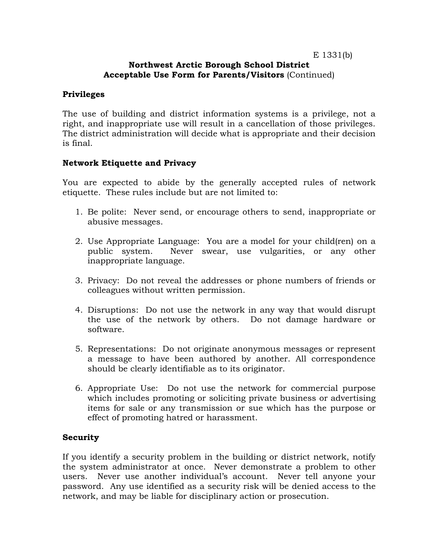## E 1331(b)

## **Northwest Arctic Borough School District Acceptable Use Form for Parents/Visitors** (Continued)

## **Privileges**

The use of building and district information systems is a privilege, not a right, and inappropriate use will result in a cancellation of those privileges. The district administration will decide what is appropriate and their decision is final.

## **Network Etiquette and Privacy**

You are expected to abide by the generally accepted rules of network etiquette. These rules include but are not limited to:

- 1. Be polite: Never send, or encourage others to send, inappropriate or abusive messages.
- 2. Use Appropriate Language: You are a model for your child(ren) on a public system. Never swear, use vulgarities, or any other inappropriate language.
- 3. Privacy: Do not reveal the addresses or phone numbers of friends or colleagues without written permission.
- 4. Disruptions: Do not use the network in any way that would disrupt the use of the network by others. Do not damage hardware or software.
- 5. Representations: Do not originate anonymous messages or represent a message to have been authored by another. All correspondence should be clearly identifiable as to its originator.
- 6. Appropriate Use: Do not use the network for commercial purpose which includes promoting or soliciting private business or advertising items for sale or any transmission or sue which has the purpose or effect of promoting hatred or harassment.

## **Security**

If you identify a security problem in the building or district network, notify the system administrator at once. Never demonstrate a problem to other users. Never use another individual's account. Never tell anyone your password. Any use identified as a security risk will be denied access to the network, and may be liable for disciplinary action or prosecution.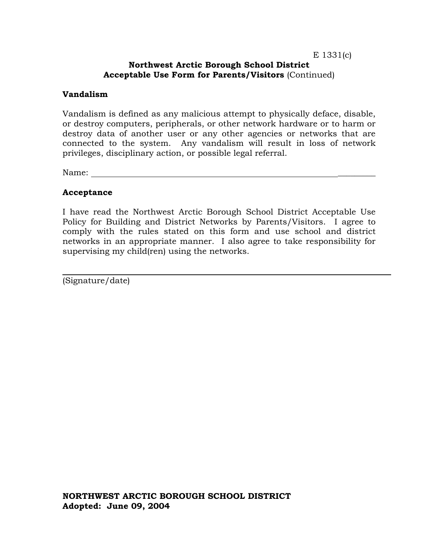#### E 1331(c) **Northwest Arctic Borough School District Acceptable Use Form for Parents/Visitors** (Continued)

### **Vandalism**

Vandalism is defined as any malicious attempt to physically deface, disable, or destroy computers, peripherals, or other network hardware or to harm or destroy data of another user or any other agencies or networks that are connected to the system. Any vandalism will result in loss of network privileges, disciplinary action, or possible legal referral.

Name:

## **Acceptance**

I have read the Northwest Arctic Borough School District Acceptable Use Policy for Building and District Networks by Parents/Visitors. I agree to comply with the rules stated on this form and use school and district networks in an appropriate manner. I also agree to take responsibility for supervising my child(ren) using the networks.

(Signature/date)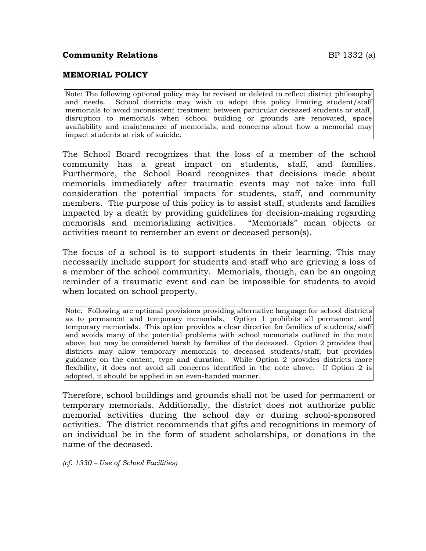## **Community Relations BP** 1332 (a)

## **MEMORIAL POLICY**

Note: The following optional policy may be revised or deleted to reflect district philosophy and needs. School districts may wish to adopt this policy limiting student/staff memorials to avoid inconsistent treatment between particular deceased students or staff, disruption to memorials when school building or grounds are renovated, space availability and maintenance of memorials, and concerns about how a memorial may impact students at risk of suicide.

The School Board recognizes that the loss of a member of the school community has a great impact on students, staff, and families. Furthermore, the School Board recognizes that decisions made about memorials immediately after traumatic events may not take into full consideration the potential impacts for students, staff, and community members. The purpose of this policy is to assist staff, students and families impacted by a death by providing guidelines for decision-making regarding memorials and memorializing activities. "Memorials" mean objects or activities meant to remember an event or deceased person(s).

The focus of a school is to support students in their learning. This may necessarily include support for students and staff who are grieving a loss of a member of the school community. Memorials, though, can be an ongoing reminder of a traumatic event and can be impossible for students to avoid when located on school property.

Note: Following are optional provisions providing alternative language for school districts as to permanent and temporary memorials. Option 1 prohibits all permanent and temporary memorials. This option provides a clear directive for families of students/staff and avoids many of the potential problems with school memorials outlined in the note above, but may be considered harsh by families of the deceased. Option 2 provides that districts may allow temporary memorials to deceased students/staff, but provides guidance on the content, type and duration. While Option 2 provides districts more flexibility, it does not avoid all concerns identified in the note above. If Option 2 is adopted, it should be applied in an even-handed manner.

Therefore, school buildings and grounds shall not be used for permanent or temporary memorials. Additionally, the district does not authorize public memorial activities during the school day or during school-sponsored activities. The district recommends that gifts and recognitions in memory of an individual be in the form of student scholarships, or donations in the name of the deceased.

*(cf. 1330 – Use of School Facilities)*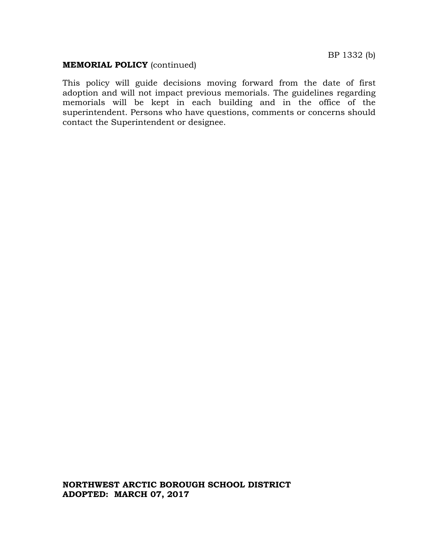#### **MEMORIAL POLICY** (continued)

This policy will guide decisions moving forward from the date of first adoption and will not impact previous memorials. The guidelines regarding memorials will be kept in each building and in the office of the superintendent. Persons who have questions, comments or concerns should contact the Superintendent or designee.

**NORTHWEST ARCTIC BOROUGH SCHOOL DISTRICT ADOPTED: MARCH 07, 2017**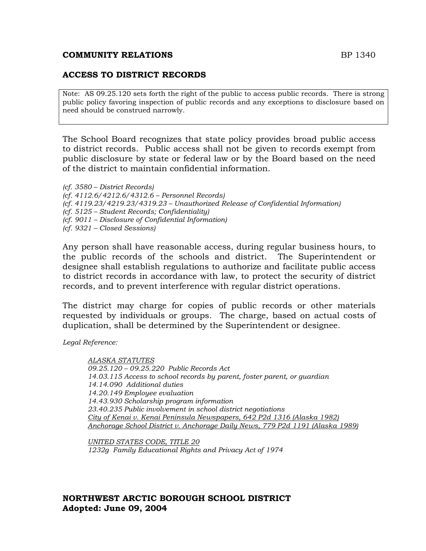#### **COMMUNITY RELATIONS BP 1340**

## **ACCESS TO DISTRICT RECORDS**

Note: AS 09.25.120 sets forth the right of the public to access public records. There is strong public policy favoring inspection of public records and any exceptions to disclosure based on need should be construed narrowly.

The School Board recognizes that state policy provides broad public access to district records. Public access shall not be given to records exempt from public disclosure by state or federal law or by the Board based on the need of the district to maintain confidential information.

*(cf. 3580 – District Records) (cf. 4112.6/4212.6/4312.6 – Personnel Records) (cf. 4119.23/4219.23/4319.23 – Unauthorized Release of Confidential Information) (cf. 5125 – Student Records; Confidentiality) (cf. 9011 – Disclosure of Confidential Information) (cf. 9321 – Closed Sessions)*

Any person shall have reasonable access, during regular business hours, to the public records of the schools and district. The Superintendent or designee shall establish regulations to authorize and facilitate public access to district records in accordance with law, to protect the security of district records, and to prevent interference with regular district operations.

The district may charge for copies of public records or other materials requested by individuals or groups. The charge, based on actual costs of duplication, shall be determined by the Superintendent or designee.

*Legal Reference:*

*ALASKA STATUTES 09.25.120 – 09.25.220 Public Records Act 14.03.115 Access to school records by parent, foster parent, or guardian 14.14.090 Additional duties 14.20.149 Employee evaluation 14.43.930 Scholarship program information 23.40.235 Public involvement in school district negotiations City of Kenai v. Kenai Peninsula Newspapers, 642 P2d 1316 (Alaska 1982) Anchorage School District v. Anchorage Daily News, 779 P2d 1191 (Alaska 1989)*

*UNITED STATES CODE, TITLE 20 1232g Family Educational Rights and Privacy Act of 1974*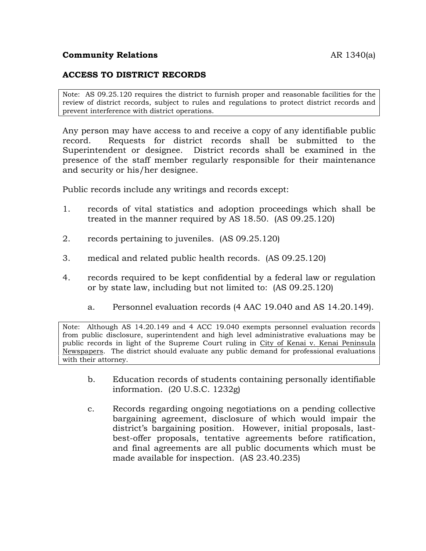## **Community Relations AR** 1340(a)

## **ACCESS TO DISTRICT RECORDS**

Note: AS 09.25.120 requires the district to furnish proper and reasonable facilities for the review of district records, subject to rules and regulations to protect district records and prevent interference with district operations.

Any person may have access to and receive a copy of any identifiable public record. Requests for district records shall be submitted to the Superintendent or designee. District records shall be examined in the presence of the staff member regularly responsible for their maintenance and security or his/her designee.

Public records include any writings and records except:

- 1. records of vital statistics and adoption proceedings which shall be treated in the manner required by AS 18.50. (AS 09.25.120)
- 2. records pertaining to juveniles. (AS 09.25.120)
- 3. medical and related public health records. (AS 09.25.120)
- 4. records required to be kept confidential by a federal law or regulation or by state law, including but not limited to: (AS 09.25.120)
	- a. Personnel evaluation records (4 AAC 19.040 and AS 14.20.149).

Note: Although AS 14.20.149 and 4 ACC 19.040 exempts personnel evaluation records from public disclosure, superintendent and high level administrative evaluations may be public records in light of the Supreme Court ruling in City of Kenai v. Kenai Peninsula Newspapers. The district should evaluate any public demand for professional evaluations with their attorney.

- b. Education records of students containing personally identifiable information. (20 U.S.C. 1232g)
- c. Records regarding ongoing negotiations on a pending collective bargaining agreement, disclosure of which would impair the district's bargaining position. However, initial proposals, lastbest-offer proposals, tentative agreements before ratification, and final agreements are all public documents which must be made available for inspection. (AS 23.40.235)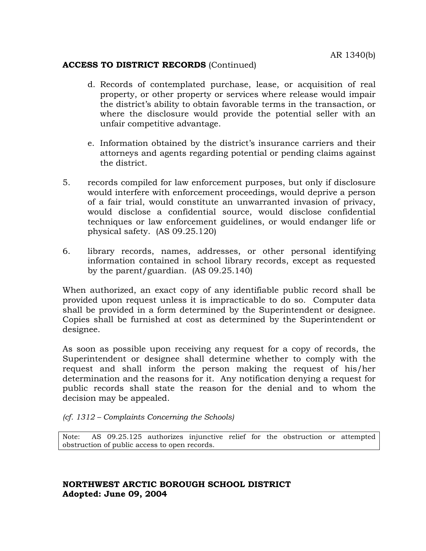## **ACCESS TO DISTRICT RECORDS** (Continued)

- d. Records of contemplated purchase, lease, or acquisition of real property, or other property or services where release would impair the district's ability to obtain favorable terms in the transaction, or where the disclosure would provide the potential seller with an unfair competitive advantage.
- e. Information obtained by the district's insurance carriers and their attorneys and agents regarding potential or pending claims against the district.
- 5. records compiled for law enforcement purposes, but only if disclosure would interfere with enforcement proceedings, would deprive a person of a fair trial, would constitute an unwarranted invasion of privacy, would disclose a confidential source, would disclose confidential techniques or law enforcement guidelines, or would endanger life or physical safety. (AS 09.25.120)
- 6. library records, names, addresses, or other personal identifying information contained in school library records, except as requested by the parent/guardian. (AS 09.25.140)

When authorized, an exact copy of any identifiable public record shall be provided upon request unless it is impracticable to do so. Computer data shall be provided in a form determined by the Superintendent or designee. Copies shall be furnished at cost as determined by the Superintendent or designee.

As soon as possible upon receiving any request for a copy of records, the Superintendent or designee shall determine whether to comply with the request and shall inform the person making the request of his/her determination and the reasons for it. Any notification denying a request for public records shall state the reason for the denial and to whom the decision may be appealed.

#### *(cf. 1312 – Complaints Concerning the Schools)*

Note: AS 09.25.125 authorizes injunctive relief for the obstruction or attempted obstruction of public access to open records.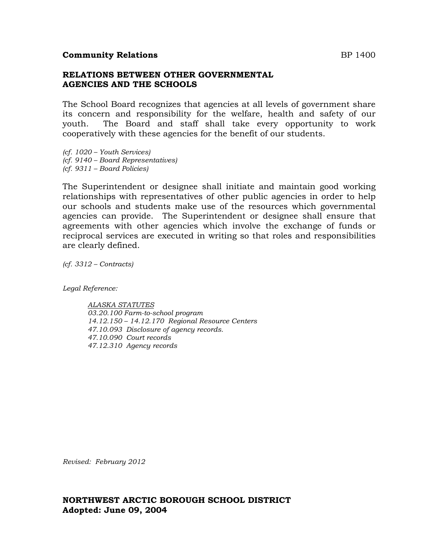#### **Community Relations** BP 1400

#### **RELATIONS BETWEEN OTHER GOVERNMENTAL AGENCIES AND THE SCHOOLS**

The School Board recognizes that agencies at all levels of government share its concern and responsibility for the welfare, health and safety of our youth. The Board and staff shall take every opportunity to work cooperatively with these agencies for the benefit of our students.

*(cf. 1020 – Youth Services) (cf. 9140 – Board Representatives) (cf. 9311 – Board Policies)*

The Superintendent or designee shall initiate and maintain good working relationships with representatives of other public agencies in order to help our schools and students make use of the resources which governmental agencies can provide. The Superintendent or designee shall ensure that agreements with other agencies which involve the exchange of funds or reciprocal services are executed in writing so that roles and responsibilities are clearly defined.

*(cf. 3312 – Contracts)*

*Legal Reference:*

*ALASKA STATUTES 03.20.100 Farm-to-school program 14.12.150 – 14.12.170 Regional Resource Centers 47.10.093 Disclosure of agency records. 47.10.090 Court records 47.12.310 Agency records*

*Revised: February 2012*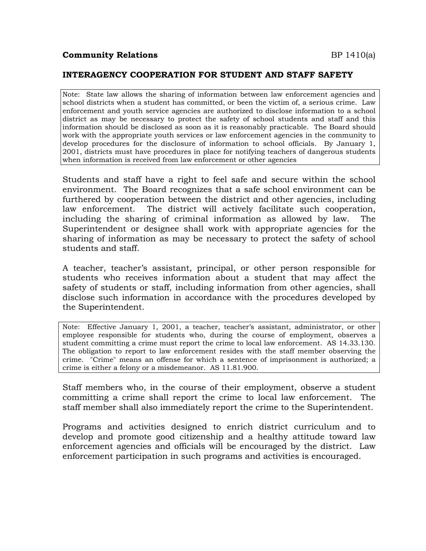## **Community Relations** BP 1410(a)

### **INTERAGENCY COOPERATION FOR STUDENT AND STAFF SAFETY**

Note: State law allows the sharing of information between law enforcement agencies and school districts when a student has committed, or been the victim of, a serious crime. Law enforcement and youth service agencies are authorized to disclose information to a school district as may be necessary to protect the safety of school students and staff and this information should be disclosed as soon as it is reasonably practicable. The Board should work with the appropriate youth services or law enforcement agencies in the community to develop procedures for the disclosure of information to school officials. By January 1, 2001, districts must have procedures in place for notifying teachers of dangerous students when information is received from law enforcement or other agencies

Students and staff have a right to feel safe and secure within the school environment. The Board recognizes that a safe school environment can be furthered by cooperation between the district and other agencies, including law enforcement. The district will actively facilitate such cooperation, including the sharing of criminal information as allowed by law. The Superintendent or designee shall work with appropriate agencies for the sharing of information as may be necessary to protect the safety of school students and staff.

A teacher, teacher's assistant, principal, or other person responsible for students who receives information about a student that may affect the safety of students or staff, including information from other agencies, shall disclose such information in accordance with the procedures developed by the Superintendent.

Note: Effective January 1, 2001, a teacher, teacher's assistant, administrator, or other employee responsible for students who, during the course of employment, observes a student committing a crime must report the crime to local law enforcement. AS 14.33.130. The obligation to report to law enforcement resides with the staff member observing the crime. "Crime" means an offense for which a sentence of imprisonment is authorized; a crime is either a felony or a misdemeanor. AS 11.81.900.

Staff members who, in the course of their employment, observe a student committing a crime shall report the crime to local law enforcement. The staff member shall also immediately report the crime to the Superintendent.

Programs and activities designed to enrich district curriculum and to develop and promote good citizenship and a healthy attitude toward law enforcement agencies and officials will be encouraged by the district. Law enforcement participation in such programs and activities is encouraged.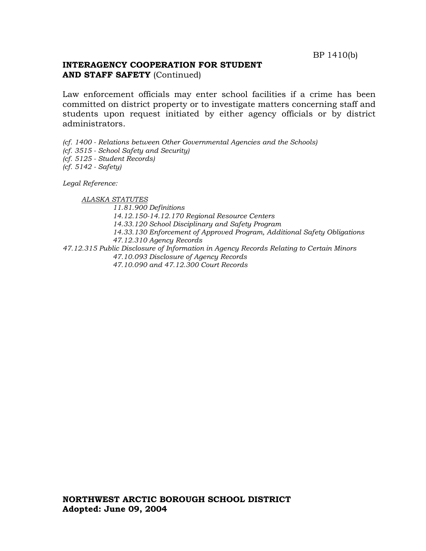## **INTERAGENCY COOPERATION FOR STUDENT AND STAFF SAFETY** (Continued)

Law enforcement officials may enter school facilities if a crime has been committed on district property or to investigate matters concerning staff and students upon request initiated by either agency officials or by district administrators.

*(cf. 1400 - Relations between Other Governmental Agencies and the Schools) (cf. 3515 - School Safety and Security) (cf. 5125 - Student Records) (cf. 5142 - Safety)*

*Legal Reference:*

 *ALASKA STATUTES 11.81.900 Definitions 14.12.150-14.12.170 Regional Resource Centers 14.33.120 School Disciplinary and Safety Program 14.33.130 Enforcement of Approved Program, Additional Safety Obligations 47.12.310 Agency Records 47.12.315 Public Disclosure of Information in Agency Records Relating to Certain Minors 47.10.093 Disclosure of Agency Records 47.10.090 and 47.12.300 Court Records*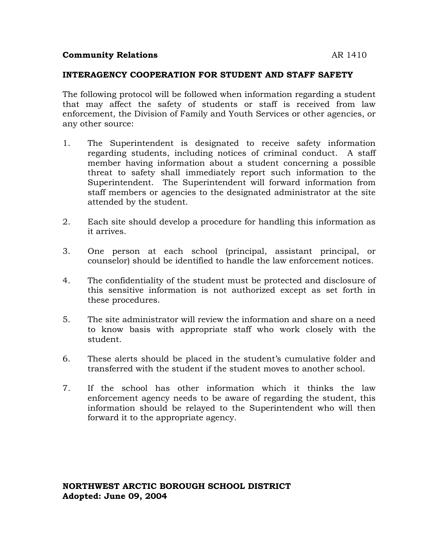## **Community Relations** and the set of the set of the set of the set of the set of the set of the set of the set of the set of the set of the set of the set of the set of the set of the set of the set of the set of the set o

#### **INTERAGENCY COOPERATION FOR STUDENT AND STAFF SAFETY**

The following protocol will be followed when information regarding a student that may affect the safety of students or staff is received from law enforcement, the Division of Family and Youth Services or other agencies, or any other source:

- 1. The Superintendent is designated to receive safety information regarding students, including notices of criminal conduct. A staff member having information about a student concerning a possible threat to safety shall immediately report such information to the Superintendent. The Superintendent will forward information from staff members or agencies to the designated administrator at the site attended by the student.
- 2. Each site should develop a procedure for handling this information as it arrives.
- 3. One person at each school (principal, assistant principal, or counselor) should be identified to handle the law enforcement notices.
- 4. The confidentiality of the student must be protected and disclosure of this sensitive information is not authorized except as set forth in these procedures.
- 5. The site administrator will review the information and share on a need to know basis with appropriate staff who work closely with the student.
- 6. These alerts should be placed in the student's cumulative folder and transferred with the student if the student moves to another school.
- 7. If the school has other information which it thinks the law enforcement agency needs to be aware of regarding the student, this information should be relayed to the Superintendent who will then forward it to the appropriate agency.